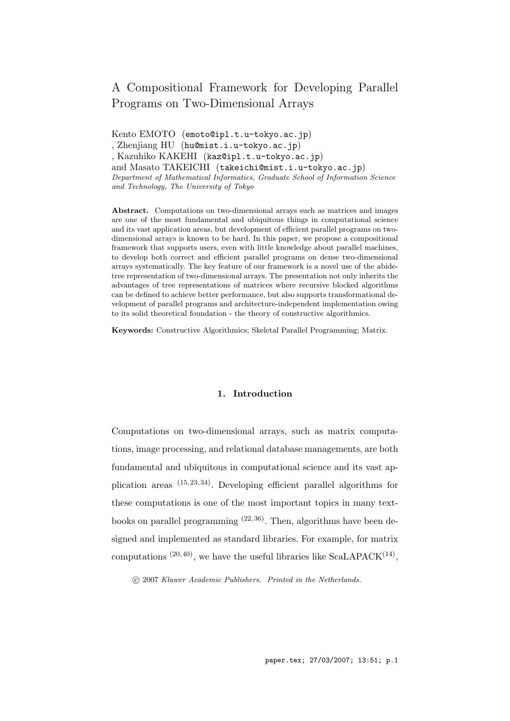# A Compositional Framework for Developing Parallel Programs on Two-Dimensional Arrays

Kento EMOTO (emoto@ipl.t.u-tokyo.ac.jp) , Zhenjiang HU (hu@mist.i.u-tokyo.ac.jp) , Kazuhiko KAKEHI (kaz@ipl.t.u-tokyo.ac.jp) and Masato TAKEICHI (takeichi@mist.i.u-tokyo.ac.jp) *Department of Mathematical Informatics, Graduate School of Information Science and Technology, The University of Tokyo*

**Abstract.** Computations on two-dimensional arrays such as matrices and images are one of the most fundamental and ubiquitous things in computational science and its vast application areas, but development of efficient parallel programs on twodimensional arrays is known to be hard. In this paper, we propose a compositional framework that supports users, even with little knowledge about parallel machines, to develop both correct and efficient parallel programs on dense two-dimensional arrays systematically. The key feature of our framework is a novel use of the abidetree representation of two-dimensional arrays. The presentation not only inherits the advantages of tree representations of matrices where recursive blocked algorithms can be defined to achieve better performance, but also supports transformational development of parallel programs and architecture-independent implementation owing to its solid theoretical foundation - the theory of constructive algorithmics.

**Keywords:** Constructive Algorithmics; Skeletal Parallel Programming; Matrix.

# **1. Introduction**

Computations on two-dimensional arrays, such as matrix computations, image processing, and relational database managements, are both fundamental and ubiquitous in computational science and its vast application areas  $(15, 23, 34)$ . Developing efficient parallel algorithms for these computations is one of the most important topics in many textbooks on parallel programming  $(22, 36)$ . Then, algorithms have been designed and implemented as standard libraries. For example, for matrix computations  $(20, 40)$ , we have the useful libraries like ScaLAPACK $(14)$ ,

*°*c 2007 *Kluwer Academic Publishers. Printed in the Netherlands.*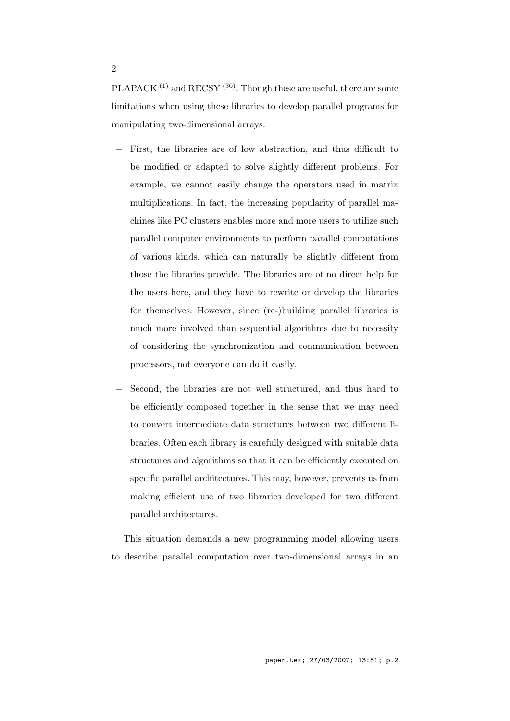PLAPACK  $(1)$  and RECSY  $(30)$ . Though these are useful, there are some limitations when using these libraries to develop parallel programs for manipulating two-dimensional arrays.

- *−* First, the libraries are of low abstraction, and thus difficult to be modified or adapted to solve slightly different problems. For example, we cannot easily change the operators used in matrix multiplications. In fact, the increasing popularity of parallel machines like PC clusters enables more and more users to utilize such parallel computer environments to perform parallel computations of various kinds, which can naturally be slightly different from those the libraries provide. The libraries are of no direct help for the users here, and they have to rewrite or develop the libraries for themselves. However, since (re-)building parallel libraries is much more involved than sequential algorithms due to necessity of considering the synchronization and communication between processors, not everyone can do it easily.
- Second, the libraries are not well structured, and thus hard to be efficiently composed together in the sense that we may need to convert intermediate data structures between two different libraries. Often each library is carefully designed with suitable data structures and algorithms so that it can be efficiently executed on specific parallel architectures. This may, however, prevents us from making efficient use of two libraries developed for two different parallel architectures.

This situation demands a new programming model allowing users to describe parallel computation over two-dimensional arrays in an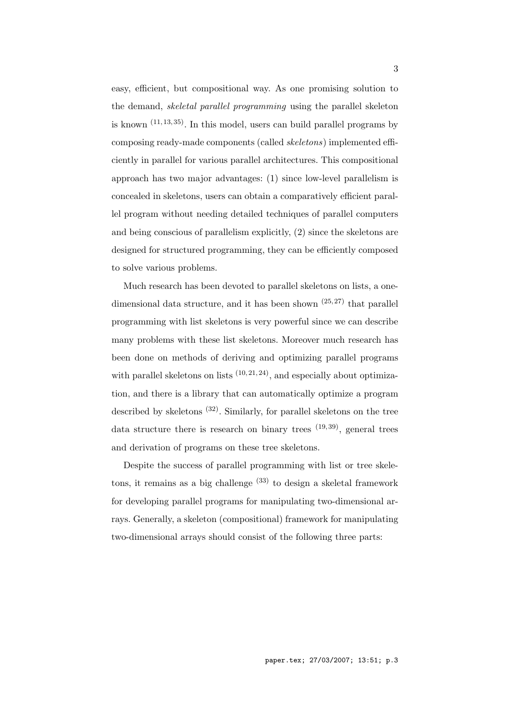easy, efficient, but compositional way. As one promising solution to the demand, *skeletal parallel programming* using the parallel skeleton is known  $(11, 13, 35)$ . In this model, users can build parallel programs by composing ready-made components (called *skeletons*) implemented efficiently in parallel for various parallel architectures. This compositional approach has two major advantages: (1) since low-level parallelism is concealed in skeletons, users can obtain a comparatively efficient parallel program without needing detailed techniques of parallel computers and being conscious of parallelism explicitly, (2) since the skeletons are designed for structured programming, they can be efficiently composed to solve various problems.

Much research has been devoted to parallel skeletons on lists, a onedimensional data structure, and it has been shown  $(25, 27)$  that parallel programming with list skeletons is very powerful since we can describe many problems with these list skeletons. Moreover much research has been done on methods of deriving and optimizing parallel programs with parallel skeletons on lists  $(10, 21, 24)$ , and especially about optimization, and there is a library that can automatically optimize a program described by skeletons  $(32)$ . Similarly, for parallel skeletons on the tree data structure there is research on binary trees  $(19, 39)$ , general trees and derivation of programs on these tree skeletons.

Despite the success of parallel programming with list or tree skeletons, it remains as a big challenge  $(33)$  to design a skeletal framework for developing parallel programs for manipulating two-dimensional arrays. Generally, a skeleton (compositional) framework for manipulating two-dimensional arrays should consist of the following three parts: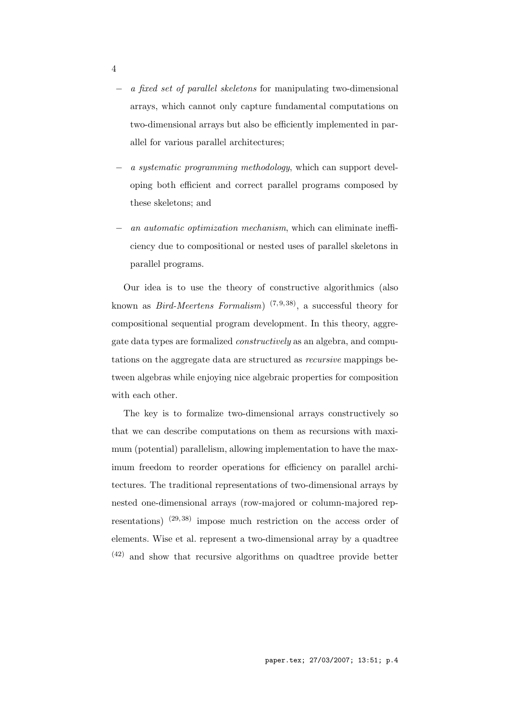- *− a fixed set of parallel skeletons* for manipulating two-dimensional arrays, which cannot only capture fundamental computations on two-dimensional arrays but also be efficiently implemented in parallel for various parallel architectures;
- *− a systematic programming methodology*, which can support developing both efficient and correct parallel programs composed by these skeletons; and
- *− an automatic optimization mechanism*, which can eliminate inefficiency due to compositional or nested uses of parallel skeletons in parallel programs.

Our idea is to use the theory of constructive algorithmics (also known as *Bird-Meertens Formalism*) <sup>(7,9,38)</sup>, a successful theory for compositional sequential program development. In this theory, aggregate data types are formalized *constructively* as an algebra, and computations on the aggregate data are structured as *recursive* mappings between algebras while enjoying nice algebraic properties for composition with each other.

The key is to formalize two-dimensional arrays constructively so that we can describe computations on them as recursions with maximum (potential) parallelism, allowing implementation to have the maximum freedom to reorder operations for efficiency on parallel architectures. The traditional representations of two-dimensional arrays by nested one-dimensional arrays (row-majored or column-majored representations)  $(29, 38)$  impose much restriction on the access order of elements. Wise et al. represent a two-dimensional array by a quadtree (42) and show that recursive algorithms on quadtree provide better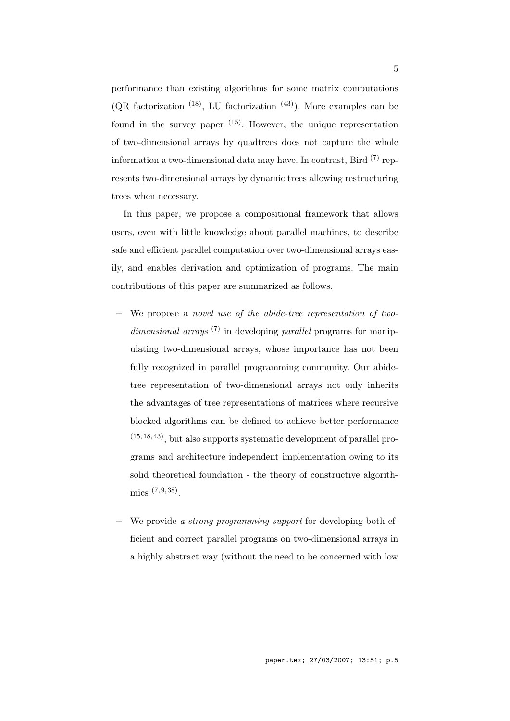performance than existing algorithms for some matrix computations (QR factorization  $(18)$ , LU factorization  $(43)$ ). More examples can be found in the survey paper  $(15)$ . However, the unique representation of two-dimensional arrays by quadtrees does not capture the whole information a two-dimensional data may have. In contrast, Bird  $^{(7)}$  represents two-dimensional arrays by dynamic trees allowing restructuring trees when necessary.

In this paper, we propose a compositional framework that allows users, even with little knowledge about parallel machines, to describe safe and efficient parallel computation over two-dimensional arrays easily, and enables derivation and optimization of programs. The main contributions of this paper are summarized as follows.

- *−* We propose a *novel use of the abide-tree representation of twodimensional arrays* (7) in developing *parallel* programs for manipulating two-dimensional arrays, whose importance has not been fully recognized in parallel programming community. Our abidetree representation of two-dimensional arrays not only inherits the advantages of tree representations of matrices where recursive blocked algorithms can be defined to achieve better performance (15, 18, 43), but also supports systematic development of parallel programs and architecture independent implementation owing to its solid theoretical foundation - the theory of constructive algorith $mics$   $(7, 9, 38)$ .
- *−* We provide *a strong programming support* for developing both efficient and correct parallel programs on two-dimensional arrays in a highly abstract way (without the need to be concerned with low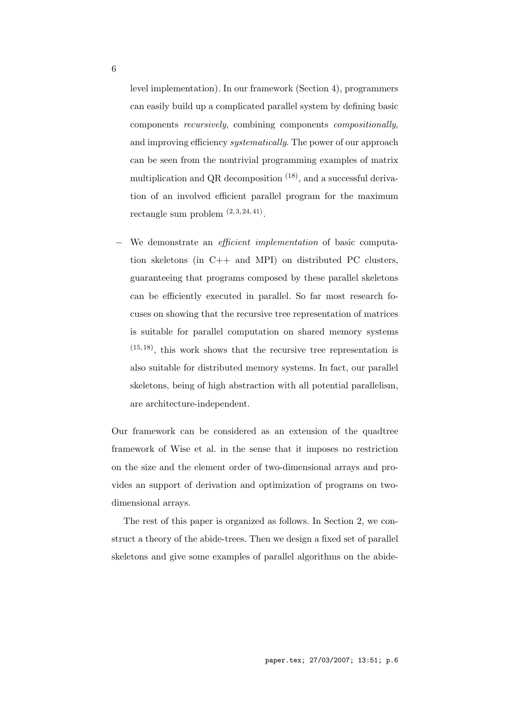level implementation). In our framework (Section 4), programmers can easily build up a complicated parallel system by defining basic components *recursively*, combining components *compositionally*, and improving efficiency *systematically*. The power of our approach can be seen from the nontrivial programming examples of matrix multiplication and QR decomposition <sup>(18)</sup>, and a successful derivation of an involved efficient parallel program for the maximum rectangle sum problem  $(2,3,24,41)$ .

*−* We demonstrate an *efficient implementation* of basic computation skeletons (in C++ and MPI) on distributed PC clusters, guaranteeing that programs composed by these parallel skeletons can be efficiently executed in parallel. So far most research focuses on showing that the recursive tree representation of matrices is suitable for parallel computation on shared memory systems  $(15, 18)$ , this work shows that the recursive tree representation is also suitable for distributed memory systems. In fact, our parallel skeletons, being of high abstraction with all potential parallelism, are architecture-independent.

Our framework can be considered as an extension of the quadtree framework of Wise et al. in the sense that it imposes no restriction on the size and the element order of two-dimensional arrays and provides an support of derivation and optimization of programs on twodimensional arrays.

The rest of this paper is organized as follows. In Section 2, we construct a theory of the abide-trees. Then we design a fixed set of parallel skeletons and give some examples of parallel algorithms on the abide-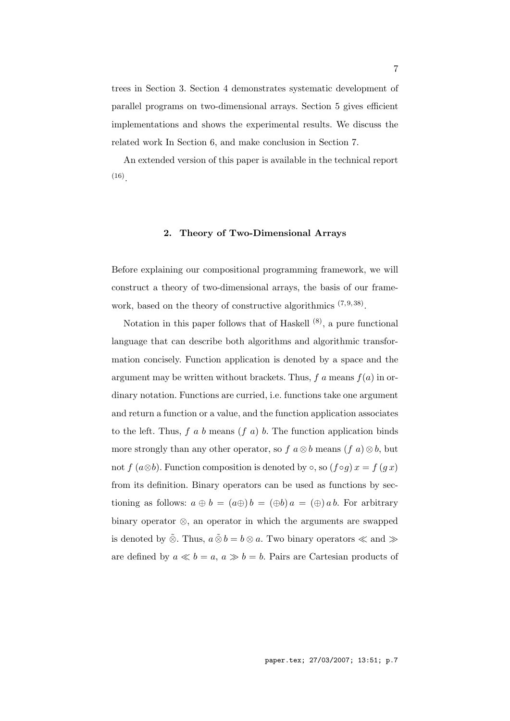trees in Section 3. Section 4 demonstrates systematic development of parallel programs on two-dimensional arrays. Section 5 gives efficient implementations and shows the experimental results. We discuss the related work In Section 6, and make conclusion in Section 7.

An extended version of this paper is available in the technical report  $(16)$ .

## **2. Theory of Two-Dimensional Arrays**

Before explaining our compositional programming framework, we will construct a theory of two-dimensional arrays, the basis of our framework, based on the theory of constructive algorithmics  $(7, 9, 38)$ .

Notation in this paper follows that of Haskell  $(8)$ , a pure functional language that can describe both algorithms and algorithmic transformation concisely. Function application is denoted by a space and the argument may be written without brackets. Thus,  $f$  a means  $f(a)$  in ordinary notation. Functions are curried, i.e. functions take one argument and return a function or a value, and the function application associates to the left. Thus, *f a b* means (*f a*) *b*. The function application binds more strongly than any other operator, so  $f \circ a \otimes b$  means  $(f \circ a) \otimes b$ , but not *f* ( $a \otimes b$ ). Function composition is denoted by  $\circ$ , so ( $f \circ g$ )  $x = f(gx)$ from its definition. Binary operators can be used as functions by sectioning as follows:  $a \oplus b = (a \oplus b) = (a \oplus b) = (a \oplus b)$  *a* =  $(a \oplus b)$ . For arbitrary binary operator *⊗*, an operator in which the arguments are swapped is denoted by  $\tilde{\otimes}$ . Thus,  $a \tilde{\otimes} b = b \otimes a$ . Two binary operators ≪ and ≫ are defined by  $a \ll b = a$ ,  $a \gg b = b$ . Pairs are Cartesian products of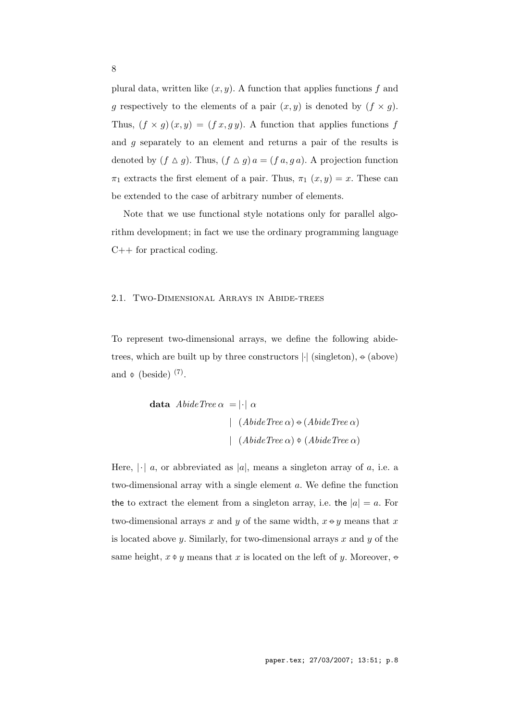plural data, written like  $(x, y)$ . A function that applies functions  $f$  and *g* respectively to the elements of a pair  $(x, y)$  is denoted by  $(f \times g)$ . Thus,  $(f \times g)(x, y) = (f x, g y)$ . A function that applies functions *f* and *g* separately to an element and returns a pair of the results is denoted by  $(f \triangle g)$ . Thus,  $(f \triangle g) a = (f a, g a)$ . A projection function  $\pi_1$  extracts the first element of a pair. Thus,  $\pi_1(x, y) = x$ . These can be extended to the case of arbitrary number of elements.

Note that we use functional style notations only for parallel algorithm development; in fact we use the ordinary programming language C++ for practical coding.

## 2.1. Two-Dimensional Arrays in Abide-trees

To represent two-dimensional arrays, we define the following abidetrees, which are built up by three constructors *|·|* (singleton), *−◦* (above) and  $\phi$  (beside) <sup>(7)</sup>.

**data** *AbideTree α* = *|·| α |* (*AbideTree α*)*−◦* (*AbideTree α*) *|* (*AbideTree α*) *−◦*(*AbideTree α*)

Here,  $|\cdot|$  *a*, or abbreviated as  $|a|$ , means a singleton array of *a*, i.e. a two-dimensional array with a single element *a*. We define the function the to extract the element from a singleton array, i.e. the  $|a| = a$ . For two-dimensional arrays *x* and *y* of the same width, *x−◦ y* means that *x* is located above *y*. Similarly, for two-dimensional arrays *x* and *y* of the same height,  $x \phi y$  means that  $x$  is located on the left of  $y$ . Moreover,  $\phi$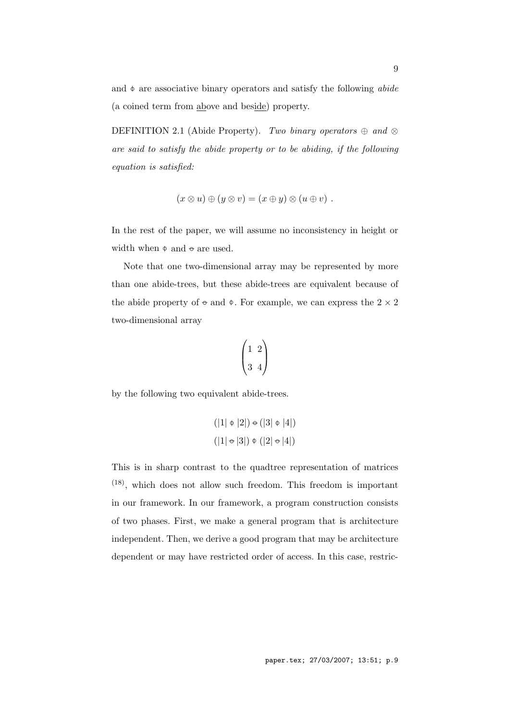and *−◦* are associative binary operators and satisfy the following *abide* (a coined term from above and beside) property.

DEFINITION 2.1 (Abide Property). *Two binary operators*  $\oplus$  *and*  $\otimes$ *are said to satisfy the abide property or to be abiding, if the following equation is satisfied:*

$$
(x \otimes u) \oplus (y \otimes v) = (x \oplus y) \otimes (u \oplus v) .
$$

In the rest of the paper, we will assume no inconsistency in height or width when  $\phi$  and  $\phi$  are used.

Note that one two-dimensional array may be represented by more than one abide-trees, but these abide-trees are equivalent because of the abide property of  $\div$  and  $\phi$ . For example, we can express the 2  $\times$  2 two-dimensional array

$$
\begin{pmatrix} 1 & 2 \\ 3 & 4 \end{pmatrix}
$$

by the following two equivalent abide-trees.

$$
(|1| \Phi |2|) \div (|3| \Phi |4|)
$$

$$
(|1| \div |3|) \Phi (|2| \div |4|)
$$

This is in sharp contrast to the quadtree representation of matrices (18), which does not allow such freedom. This freedom is important in our framework. In our framework, a program construction consists of two phases. First, we make a general program that is architecture independent. Then, we derive a good program that may be architecture dependent or may have restricted order of access. In this case, restric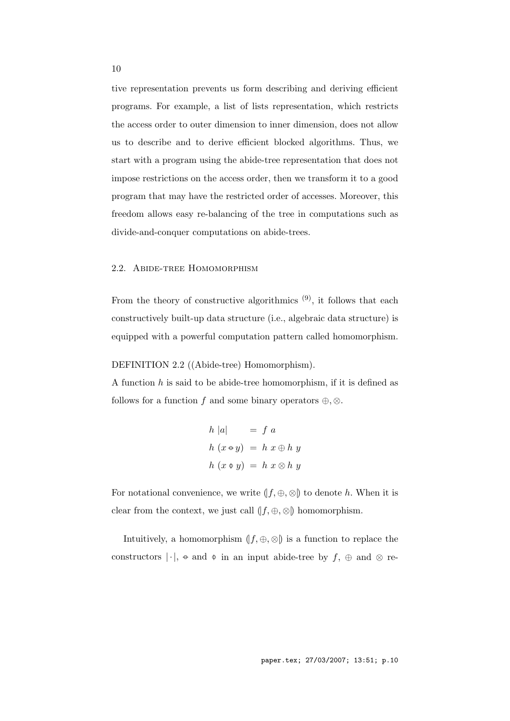tive representation prevents us form describing and deriving efficient programs. For example, a list of lists representation, which restricts the access order to outer dimension to inner dimension, does not allow us to describe and to derive efficient blocked algorithms. Thus, we start with a program using the abide-tree representation that does not impose restrictions on the access order, then we transform it to a good program that may have the restricted order of accesses. Moreover, this freedom allows easy re-balancing of the tree in computations such as divide-and-conquer computations on abide-trees.

# 2.2. Abide-tree Homomorphism

From the theory of constructive algorithmics  $(9)$ , it follows that each constructively built-up data structure (i.e., algebraic data structure) is equipped with a powerful computation pattern called homomorphism.

## DEFINITION 2.2 ((Abide-tree) Homomorphism).

A function *h* is said to be abide-tree homomorphism, if it is defined as follows for a function *f* and some binary operators  $\oplus$ ,  $\otimes$ .

$$
h |a| = f a
$$
  

$$
h (x \oplus y) = h x \oplus h y
$$
  

$$
h (x \oplus y) = h x \otimes h y
$$

For notational convenience, we write  $(f, \oplus, \otimes)$  to denote *h*. When it is clear from the context, we just call  $(f, \oplus, \otimes)$  homomorphism.

Intuitively, a homomorphism  $(f, \oplus, \otimes)$  is a function to replace the constructors *| ·|*, *−◦* and *−◦* in an input abide-tree by *f*, *⊕* and *⊗* re-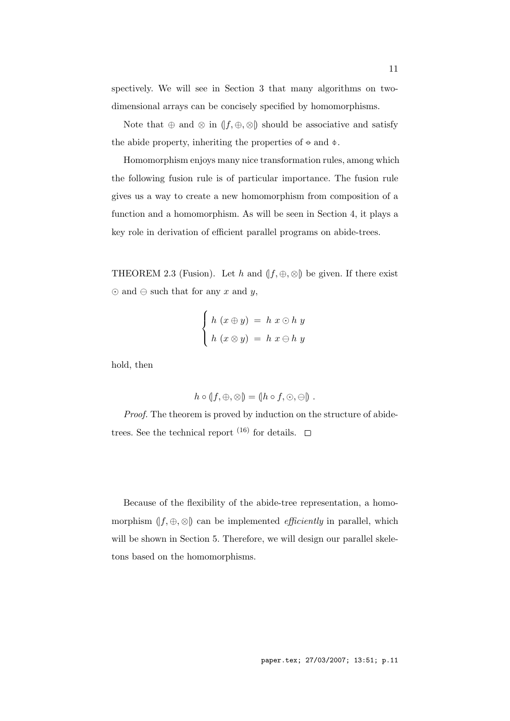spectively. We will see in Section 3 that many algorithms on twodimensional arrays can be concisely specified by homomorphisms.

Note that  $\oplus$  and  $\otimes$  in  $(f, \oplus, \otimes)$  should be associative and satisfy the abide property, inheriting the properties of *−◦* and *−◦*.

Homomorphism enjoys many nice transformation rules, among which the following fusion rule is of particular importance. The fusion rule gives us a way to create a new homomorphism from composition of a function and a homomorphism. As will be seen in Section 4, it plays a key role in derivation of efficient parallel programs on abide-trees.

THEOREM 2.3 (Fusion). Let *h* and  $(f, \oplus, \otimes)$  be given. If there exist  $\odot$  and  $\ominus$  such that for any *x* and *y*,

$$
\begin{cases}\nh(x \oplus y) = h x \odot h y \\
h(x \otimes y) = h x \ominus h y\n\end{cases}
$$

hold, then

$$
h\circ(f,\oplus,\otimes) = (h\circ f,\odot,\ominus)
$$
.

*Proof.* The theorem is proved by induction on the structure of abidetrees. See the technical report  $(16)$  for details.  $\Box$ 

Because of the flexibility of the abide-tree representation, a homomorphism  $(f, \oplus, \otimes)$  can be implemented *efficiently* in parallel, which will be shown in Section 5. Therefore, we will design our parallel skeletons based on the homomorphisms.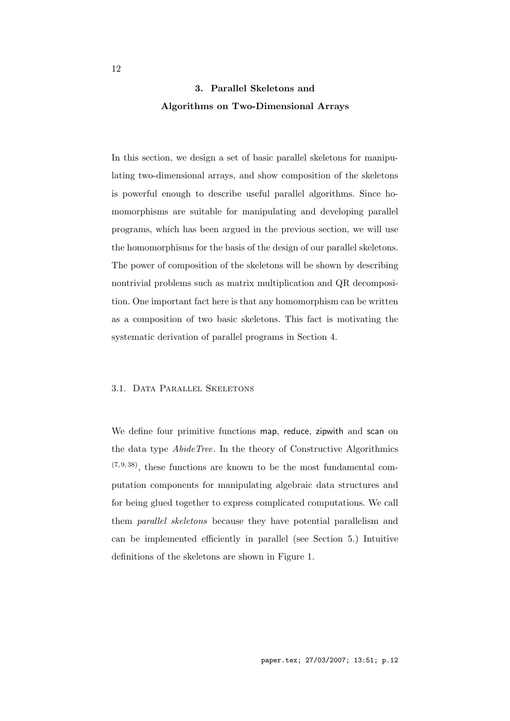# **3. Parallel Skeletons and Algorithms on Two-Dimensional Arrays**

In this section, we design a set of basic parallel skeletons for manipulating two-dimensional arrays, and show composition of the skeletons is powerful enough to describe useful parallel algorithms. Since homomorphisms are suitable for manipulating and developing parallel programs, which has been argued in the previous section, we will use the homomorphisms for the basis of the design of our parallel skeletons. The power of composition of the skeletons will be shown by describing nontrivial problems such as matrix multiplication and QR decomposition. One important fact here is that any homomorphism can be written as a composition of two basic skeletons. This fact is motivating the systematic derivation of parallel programs in Section 4.

## 3.1. Data Parallel Skeletons

We define four primitive functions map, reduce, zipwith and scan on the data type *AbideTree*. In the theory of Constructive Algorithmics  $(7,9,38)$ , these functions are known to be the most fundamental computation components for manipulating algebraic data structures and for being glued together to express complicated computations. We call them *parallel skeletons* because they have potential parallelism and can be implemented efficiently in parallel (see Section 5.) Intuitive definitions of the skeletons are shown in Figure 1.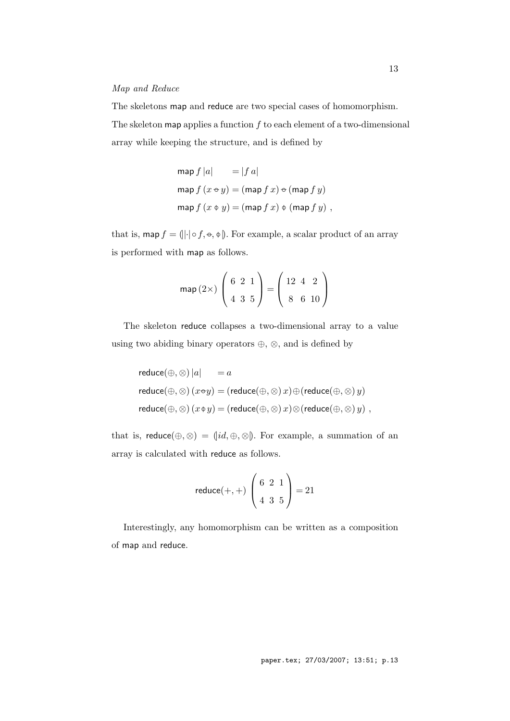## *Map and Reduce*

The skeletons map and reduce are two special cases of homomorphism. The skeleton map applies a function *f* to each element of a two-dimensional array while keeping the structure, and is defined by

$$
\begin{aligned}\n\text{map } f |a| &= |f a| \\
\text{map } f (x \circ y) &= (\text{map } f x) \circ (\text{map } f y) \\
\text{map } f (x \circ y) &= (\text{map } f x) \circ (\text{map } f y) \text{ ,}\n\end{aligned}
$$

that is,  $\mathsf{map}\, f = \left( \left| \cdot \right| \circ f, \div, \psi \right)$ . For example, a scalar product of an array is performed with map as follows.

map (2×) 
$$
\begin{pmatrix} 6 & 2 & 1 \\ 4 & 3 & 5 \end{pmatrix}
$$
 =  $\begin{pmatrix} 12 & 4 & 2 \\ 8 & 6 & 10 \end{pmatrix}$ 

The skeleton reduce collapses a two-dimensional array to a value using two abiding binary operators *⊕*, *⊗*, and is defined by

$$
reduce(\oplus, \otimes) |a| = a
$$
  
reduce( $\oplus$ ,  $\otimes$ ) ( $x \oplus y$ ) = (reduce( $\oplus$ ,  $\otimes$ )  $x$ )  $\oplus$  (reduce( $\oplus$ ,  $\otimes$ )  $y$ )  
reduce( $\oplus$ ,  $\otimes$ ) ( $x \oplus y$ ) = (reduce( $\oplus$ ,  $\otimes$ )  $x$ )  $\otimes$  (reduce( $\oplus$ ,  $\otimes$ )  $y$ ) ,

that is, reduce $(\oplus, \otimes) = (id, \oplus, \otimes)$ . For example, a summation of an array is calculated with reduce as follows.

$$
reduce(+, +) \begin{pmatrix} 6 & 2 & 1 \\ 4 & 3 & 5 \end{pmatrix} = 21
$$

Interestingly, any homomorphism can be written as a composition of map and reduce.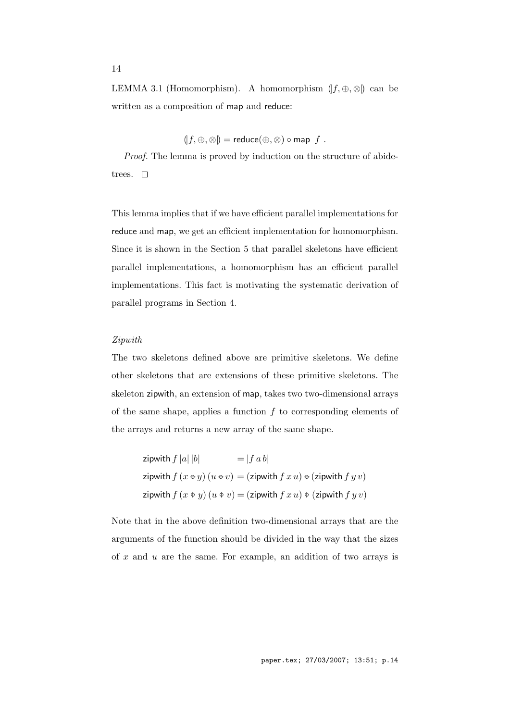LEMMA 3.1 (Homomorphism). A homomorphism  $(f, \oplus, \otimes)$  can be written as a composition of map and reduce:

$$
(f, \oplus, \otimes) = reduce(\oplus, \otimes) \circ map f.
$$

*Proof.* The lemma is proved by induction on the structure of abidetrees.  $\square$ 

This lemma implies that if we have efficient parallel implementations for reduce and map, we get an efficient implementation for homomorphism. Since it is shown in the Section 5 that parallel skeletons have efficient parallel implementations, a homomorphism has an efficient parallel implementations. This fact is motivating the systematic derivation of parallel programs in Section 4.

#### *Zipwith*

The two skeletons defined above are primitive skeletons. We define other skeletons that are extensions of these primitive skeletons. The skeleton zipwith, an extension of map, takes two two-dimensional arrays of the same shape, applies a function *f* to corresponding elements of the arrays and returns a new array of the same shape.

zipwith 
$$
f |a| |b|
$$
 =  $|f ab|$   
zipwith  $f (x \leftrightarrow y) (u \leftrightarrow v) =$  (zipwith  $f x u$ )  $\Leftrightarrow$  (zipwith  $f y v$ )  
zipwith  $f (x \leftrightarrow y) (u \leftrightarrow v) =$  (zipwith  $f x u$ )  $\Leftrightarrow$  (zipwith  $f y v$ )

Note that in the above definition two-dimensional arrays that are the arguments of the function should be divided in the way that the sizes of *x* and *u* are the same. For example, an addition of two arrays is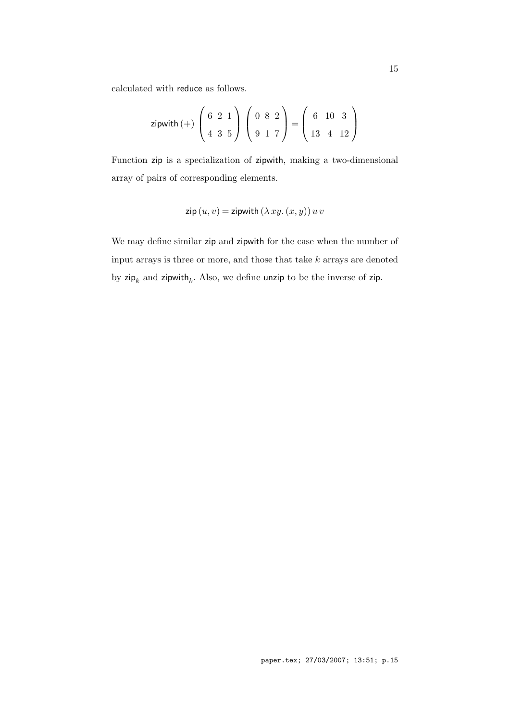calculated with reduce as follows.

zipwith (+) 
$$
\begin{pmatrix} 6 & 2 & 1 \\ 4 & 3 & 5 \end{pmatrix} \begin{pmatrix} 0 & 8 & 2 \\ 9 & 1 & 7 \end{pmatrix} = \begin{pmatrix} 6 & 10 & 3 \\ 13 & 4 & 12 \end{pmatrix}
$$

Function zip is a specialization of zipwith, making a two-dimensional array of pairs of corresponding elements.

$$
zip(u, v) = zipwith (\lambda xy. (x, y)) u v
$$

We may define similar zip and zipwith for the case when the number of input arrays is three or more, and those that take *k* arrays are denoted by  $\mathsf{zip}_k$  and  $\mathsf{zipwith}_k$ . Also, we define unzip to be the inverse of zip.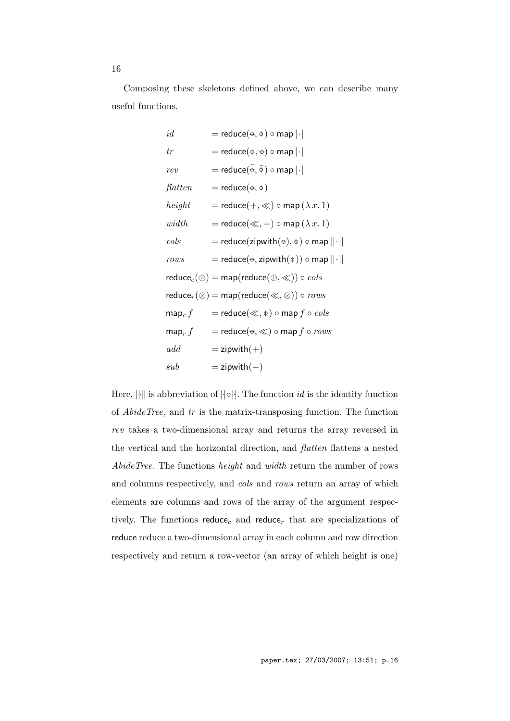Composing these skeletons defined above, we can describe many useful functions.

$$
id = reduce(\Theta, \Phi) \circ map | \cdot |
$$
\n
$$
tr = reduce(\Phi, \Theta) \circ map | \cdot |
$$
\n
$$
rev = reduce(\Phi, \Phi) \circ map | \cdot |
$$
\n
$$
flatten = reduce(\Theta, \Phi)
$$
\n
$$
height = reduce(+, \ll) \circ map (\lambda x. 1)
$$
\n
$$
width = reduce(\llap{$\ltimes$}, +) \circ map (\lambda x. 1)
$$
\n
$$
cols = reduce(\text{zipwith}(\Theta), \Phi) \circ map || \cdot ||
$$
\n
$$
rows = reduce(\text{zipwith}(\Phi)) \circ map || \cdot ||
$$
\n
$$
reduce_c(\Theta) = map(reduce(\Theta, \ll)) \circ \text{cols}
$$
\n
$$
reduce_r(\otimes) = map(reduce(\llap{$\ltimes$}, \Phi) \circ now
$$
\n
$$
map_c f = reduce(\llap{$\ltimes$}, \Phi) \circ map f \circ \text{cols}
$$
\n
$$
map_r f = reduce(\Theta, \ll) \circ map f \circ rows
$$
\n
$$
add = zipwith(+)
$$
\n
$$
sub = zipwith(-)
$$

Here, *||·||* is abbreviation of *|·|◦|·|*. The function *id* is the identity function of *AbideTree*, and *tr* is the matrix-transposing function. The function *rev* takes a two-dimensional array and returns the array reversed in the vertical and the horizontal direction, and *flatten* flattens a nested *AbideTree*. The functions *height* and *width* return the number of rows and columns respectively, and *cols* and *rows* return an array of which elements are columns and rows of the array of the argument respectively. The functions  $reduce_c$  and  $reduce_r$  that are specializations of reduce reduce a two-dimensional array in each column and row direction respectively and return a row-vector (an array of which height is one)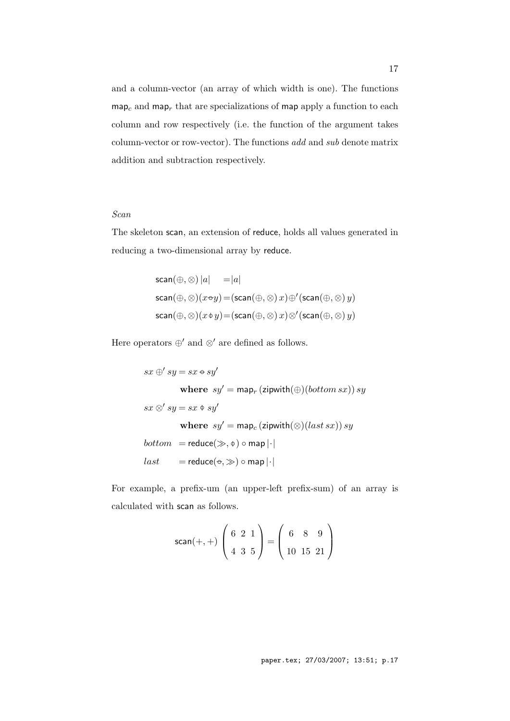and a column-vector (an array of which width is one). The functions  $map_c$  and  $map_r$  that are specializations of map apply a function to each column and row respectively (i.e. the function of the argument takes column-vector or row-vector). The functions *add* and *sub* denote matrix addition and subtraction respectively.

# *Scan*

The skeleton scan, an extension of reduce, holds all values generated in reducing a two-dimensional array by reduce.

$$
scan(\oplus, \otimes) |a| = |a|
$$
  
\n
$$
scan(\oplus, \otimes)(x \oplus y) = (scan(\oplus, \otimes) x) \oplus' (scan(\oplus, \otimes) y)
$$
  
\n
$$
scan(\oplus, \otimes)(x \oplus y) = (scan(\oplus, \otimes) x) \otimes' (scan(\oplus, \otimes) y)
$$

Here operators  $\oplus'$  and  $\otimes'$  are defined as follows.

 $sx \oplus' sy = sx \oplus sy'$ **where**  $sy' = \text{map}_r (\text{zipwith}(\bigoplus)(bottom \, sx)) \, sy$  $sx \otimes' sy = sx \mathrel{\phi} sy'$ **where**  $sy' = \text{map}_c$  (zipwith( $\otimes$ )(*last sx*)) *sy*  $bottom$  = reduce( $\gg$ ,  $\phi$ )  $\circ$  map  $\left| \cdot \right|$  $last = reduce(⇒, ∞) ∘ map |·|$ 

For example, a prefix-um (an upper-left prefix-sum) of an array is calculated with scan as follows.

$$
\text{scan}(+,+)\begin{pmatrix} 6 & 2 & 1 \\ 4 & 3 & 5 \end{pmatrix} = \begin{pmatrix} 6 & 8 & 9 \\ 10 & 15 & 21 \end{pmatrix}
$$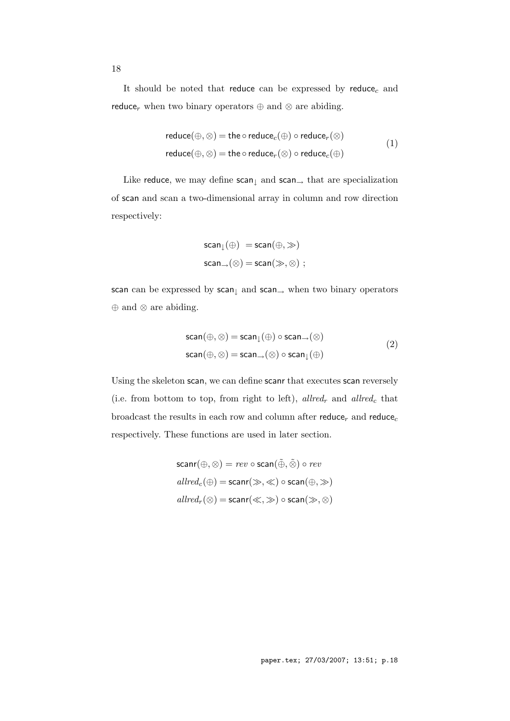It should be noted that reduce can be expressed by reduce*<sup>c</sup>* and reduce<sub>r</sub> when two binary operators  $\oplus$  and  $\otimes$  are abiding.

$$
reduce(\oplus, \otimes) = the \circ reduce_c(\oplus) \circ reduce_r(\otimes)
$$
  
reduce( $\oplus, \otimes$ ) = the \circ reduce\_r(\otimes) \circ reduce\_c(\oplus) (1)

Like reduce, we may define scan*<sup>↓</sup>* and scan*<sup>→</sup>* that are specialization of scan and scan a two-dimensional array in column and row direction respectively:

$$
scan_{\downarrow}(\oplus) = scan(\oplus, \gg)
$$
  

$$
scan_{\rightarrow}(\otimes) = scan(\gg, \otimes);
$$

scan can be expressed by scan*<sup>↓</sup>* and scan*<sup>→</sup>* when two binary operators *⊕* and *⊗* are abiding.

$$
scan(\oplus, \otimes) = scan_{\downarrow}(\oplus) \circ scan_{\rightarrow}(\otimes)
$$
  
\n
$$
scan(\oplus, \otimes) = scan_{\rightarrow}(\otimes) \circ scan_{\downarrow}(\oplus)
$$
  
\n(2)

Using the skeleton scan, we can define scanr that executes scan reversely (i.e. from bottom to top, from right to left), *allred<sup>r</sup>* and *allred<sup>c</sup>* that broadcast the results in each row and column after reduce<sub>r</sub> and reduce<sub>c</sub> respectively. These functions are used in later section.

$$
\begin{aligned} &\text{scar}(\oplus, \otimes) = \textit{rev} \circ \text{scan}(\tilde{\oplus}, \tilde{\otimes}) \circ \textit{rev} \\ &\textit{allred}_c(\oplus) = \text{scanr}(\gg, \ll) \circ \text{scan}(\oplus, \gg) \\ &\textit{allred}_r(\otimes) = \text{scanr}(\ll, \gg) \circ \text{scan}(\gg, \otimes) \end{aligned}
$$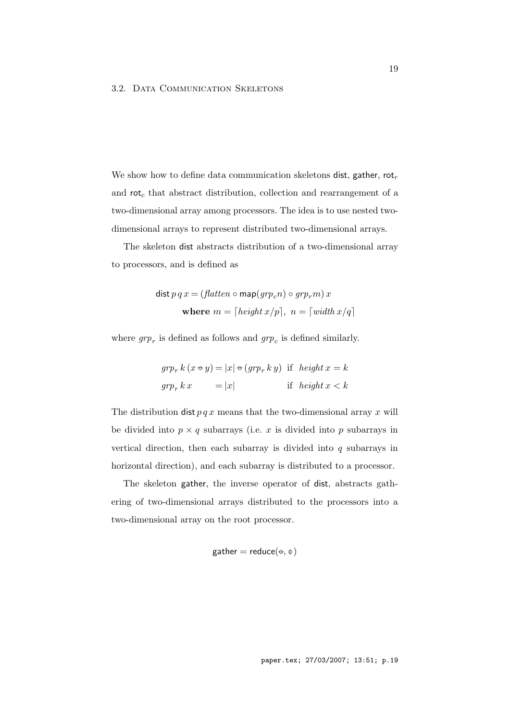## 3.2. DATA COMMUNICATION SKELETONS

We show how to define data communication skeletons dist, gather, rot*<sup>r</sup>* and rot*<sup>c</sup>* that abstract distribution, collection and rearrangement of a two-dimensional array among processors. The idea is to use nested twodimensional arrays to represent distributed two-dimensional arrays.

The skeleton dist abstracts distribution of a two-dimensional array to processors, and is defined as

$$
\begin{aligned} \text{dist } p \, q \, x &= \left( \text{flatten } \circ \text{map}(\text{gr} p_c n) \circ \text{gr} p_r m \right) x \\ \text{where } m &= \left[ \text{height } x/p \right], \ n = \left[ \text{width } x/q \right] \end{aligned}
$$

where  $g r p_r$  is defined as follows and  $g r p_c$  is defined similarly.

$$
grp_r k (x \oplus y) = |x| \oplus (grp_r k y) \text{ if } height x = k
$$
  

$$
grp_r k x = |x| \text{ if } height x < k
$$

The distribution  $\text{dist } p q x$  means that the two-dimensional array x will be divided into  $p \times q$  subarrays (i.e.  $x$  is divided into  $p$  subarrays in vertical direction, then each subarray is divided into *q* subarrays in horizontal direction), and each subarray is distributed to a processor.

The skeleton gather, the inverse operator of dist, abstracts gathering of two-dimensional arrays distributed to the processors into a two-dimensional array on the root processor.

$$
\text{gather} = \text{reduce}(\textcolor{red}{\text{e}}, \textcolor{red}{\text{e}})
$$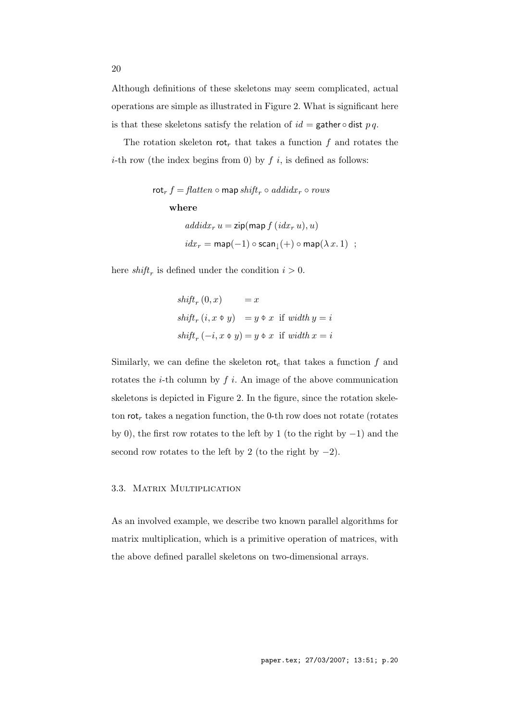Although definitions of these skeletons may seem complicated, actual operations are simple as illustrated in Figure 2. What is significant here is that these skeletons satisfy the relation of  $id =$  gather  $\diamond$  dist  $p q$ .

The rotation skeleton rot<sub>r</sub> that takes a function  $f$  and rotates the *i*-th row (the index begins from 0) by  $f$  *i*, is defined as follows:

$$
\begin{aligned}\n\text{rot}_r f &= \text{flatten} \circ \text{map} \, \text{shift}_r \circ \text{addidx}_r \circ \text{rows} \\
&\quad \text{where} \\
\text{addidx}_r u &= \text{zip}(\text{map } f(\text{idx}_r u), u) \\
&\quad \text{idx}_r = \text{map}(-1) \circ \text{scan}_\downarrow(+) \circ \text{map}(\lambda x. 1) \quad ;\n\end{aligned}
$$

here  $shift_r$  is defined under the condition  $i > 0$ .

$$
shiftr (0, x) = x
$$
  
shift<sub>r</sub> (i, x  $\phi$  y) = y  $\phi$  x if width y = i  
shift<sub>r</sub> (-i, x  $\phi$  y) = y  $\phi$  x if width x = i

Similarly, we can define the skeleton  $\mathsf{rot}_c$  that takes a function  $f$  and rotates the *i*-th column by *f i*. An image of the above communication skeletons is depicted in Figure 2. In the figure, since the rotation skeleton rot*<sup>r</sup>* takes a negation function, the 0-th row does not rotate (rotates by 0), the first row rotates to the left by 1 (to the right by *−*1) and the second row rotates to the left by 2 (to the right by *−*2).

#### 3.3. Matrix Multiplication

As an involved example, we describe two known parallel algorithms for matrix multiplication, which is a primitive operation of matrices, with the above defined parallel skeletons on two-dimensional arrays.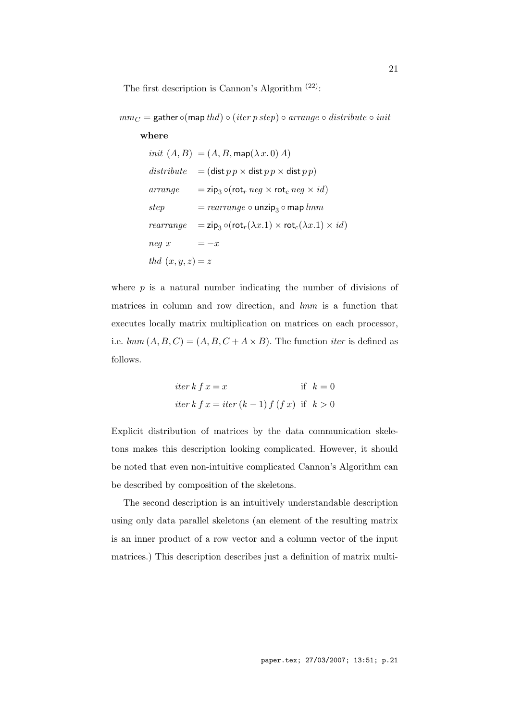The first description is Cannon's Algorithm  $(22)$ :

*mm<sup>C</sup>* = gather *◦*(map *thd*) *◦* (*iter p step*) *◦ arrange ◦ distribute ◦ init*

## **where**

$$
init (A, B) = (A, B, \text{map}(\lambda x. 0) A)
$$
\n
$$
distribute = (\text{dist } pp \times \text{dist } pp \times \text{dist } pp)
$$
\n
$$
arrange = \text{zip}_3 \circ (\text{rot}_r \text{ neg} \times \text{rot}_c \text{ neg} \times id)
$$
\n
$$
step = rearrange \circ \text{unzip}_3 \circ \text{map } \text{lmm}
$$
\n
$$
rearrange = \text{zip}_3 \circ (\text{rot}_r(\lambda x.1) \times \text{rot}_c(\lambda x.1) \times id)
$$
\n
$$
neg \ x = -x
$$
\n
$$
thd \ (x, y, z) = z
$$

where  $p$  is a natural number indicating the number of divisions of matrices in column and row direction, and *lmm* is a function that executes locally matrix multiplication on matrices on each processor, i.e.  $lmm(A, B, C) = (A, B, C + A \times B)$ . The function *iter* is defined as follows.

$$
iter k f x = x
$$
if  $k = 0$   

$$
iter k f x = iter (k - 1) f (f x)
$$
if  $k > 0$ 

Explicit distribution of matrices by the data communication skeletons makes this description looking complicated. However, it should be noted that even non-intuitive complicated Cannon's Algorithm can be described by composition of the skeletons.

The second description is an intuitively understandable description using only data parallel skeletons (an element of the resulting matrix is an inner product of a row vector and a column vector of the input matrices.) This description describes just a definition of matrix multi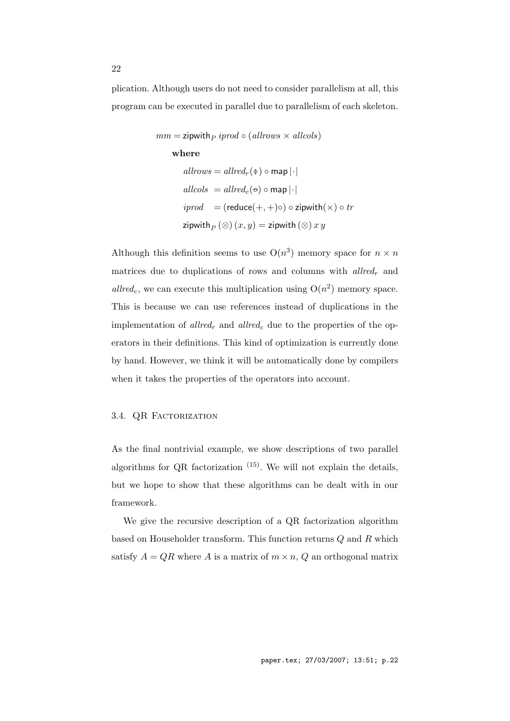plication. Although users do not need to consider parallelism at all, this program can be executed in parallel due to parallelism of each skeleton.

$$
mm = \mathsf{zipwith}_P \text{ }iprod \circ (\text{allrows} \times \text{ }allcols)
$$
\n
$$
\mathbf{where}
$$
\n
$$
\text{allrows} = \text{allred}_r(\phi) \circ \text{map} |\cdot|
$$
\n
$$
\text{allcols} = \text{allred}_c(\phi) \circ \text{map} |\cdot|
$$
\n
$$
\text{iprod} = (\text{reduce}(+, +) \circ) \circ \text{zipwith}(\times) \circ \text{tr}
$$
\n
$$
\text{zipwith}_P(\otimes) (x, y) = \text{zipwith} (\otimes) x y
$$

Although this definition seems to use  $O(n^3)$  memory space for  $n \times n$ matrices due to duplications of rows and columns with *allred<sup>r</sup>* and  $allred<sub>c</sub>$ , we can execute this multiplication using  $O(n<sup>2</sup>)$  memory space. This is because we can use references instead of duplications in the implementation of *allred<sup>r</sup>* and *allred<sup>c</sup>* due to the properties of the operators in their definitions. This kind of optimization is currently done by hand. However, we think it will be automatically done by compilers when it takes the properties of the operators into account.

## 3.4. QR FACTORIZATION

As the final nontrivial example, we show descriptions of two parallel algorithms for QR factorization  $(15)$ . We will not explain the details, but we hope to show that these algorithms can be dealt with in our framework.

We give the recursive description of a QR factorization algorithm based on Householder transform. This function returns *Q* and *R* which satisfy  $A = QR$  where  $A$  is a matrix of  $m \times n$ ,  $Q$  an orthogonal matrix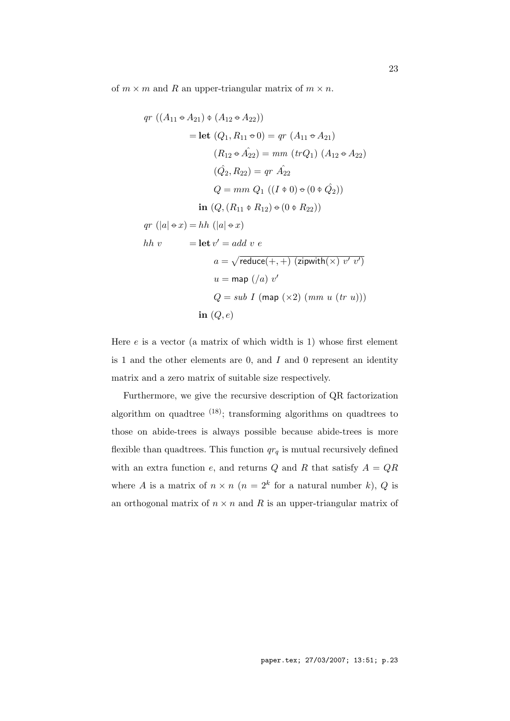of  $m \times m$  and  $R$  an upper-triangular matrix of  $m \times n$ .

$$
qr ((A_{11} \leftrightarrow A_{21}) \diamond (A_{12} \leftrightarrow A_{22}))
$$
  
= let  $(Q_1, R_{11} \leftrightarrow 0) = qr (A_{11} \leftrightarrow A_{21})$   
 $(R_{12} \leftrightarrow A_{22}) = mm (trQ_1) (A_{12} \leftrightarrow A_{22})$   
 $(\hat{Q}_2, R_{22}) = qr \hat{A}_{22}$   
 $Q = mm Q_1 ((I \diamond 0) \diamond (0 \diamond \hat{Q}_2))$   
in  $(Q, (R_{11} \diamond R_{12}) \diamond (0 \diamond R_{22}))$   
 $qr (|a| \leftrightarrow x) = hh (|a| \leftrightarrow x)$   
 $hh v = \text{let } v' = add v e$   
 $a = \sqrt{\text{reduce}(+,+) \text{ (zipwith}(x) v' v')}$   
 $u = \text{map } (a) v'$   
 $Q = sub I (\text{map } (\times 2) (mm u (tr u)))$   
in  $(Q, e)$ 

Here  $e$  is a vector (a matrix of which width is 1) whose first element is 1 and the other elements are 0, and *I* and 0 represent an identity matrix and a zero matrix of suitable size respectively.

Furthermore, we give the recursive description of QR factorization algorithm on quadtree  $(18)$ ; transforming algorithms on quadtrees to those on abide-trees is always possible because abide-trees is more flexible than quadtrees. This function  $qr_q$  is mutual recursively defined with an extra function  $e$ , and returns  $Q$  and  $R$  that satisfy  $A = QR$ where *A* is a matrix of  $n \times n$  ( $n = 2^k$  for a natural number *k*), *Q* is an orthogonal matrix of  $n \times n$  and R is an upper-triangular matrix of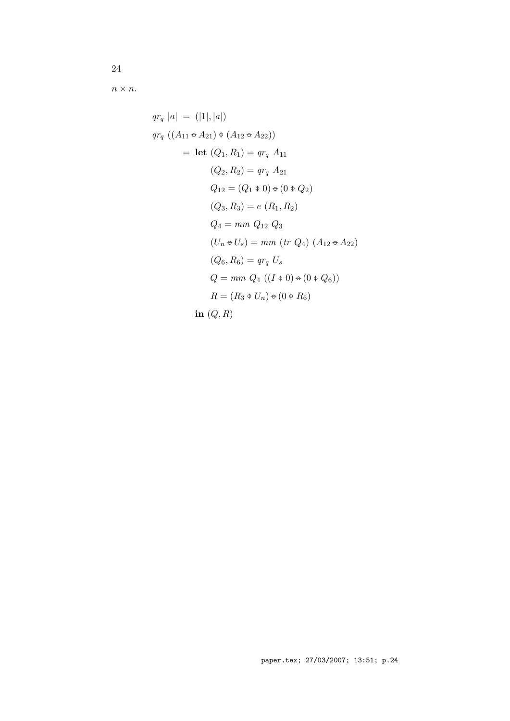$n \times n$ .

$$
qr_q |a| = (|1|, |a|)
$$
  
\n
$$
qr_q ((A_{11} \leftrightarrow A_{21}) \phi (A_{12} \leftrightarrow A_{22}))
$$
  
\n
$$
= let (Q_1, R_1) = qr_q A_{11}
$$
  
\n
$$
(Q_2, R_2) = qr_q A_{21}
$$
  
\n
$$
Q_{12} = (Q_1 \phi 0) \phi (0 \phi Q_2)
$$
  
\n
$$
(Q_3, R_3) = e (R_1, R_2)
$$
  
\n
$$
Q_4 = mm Q_{12} Q_3
$$
  
\n
$$
(U_n \phi U_s) = mm (tr Q_4) (A_{12} \phi A_{22})
$$
  
\n
$$
(Q_6, R_6) = qr_q U_s
$$
  
\n
$$
Q = mm Q_4 ((I \phi 0) \phi (0 \phi Q_6))
$$
  
\n
$$
R = (R_3 \phi U_n) \phi (0 \phi R_6)
$$
  
\n
$$
in (Q, R)
$$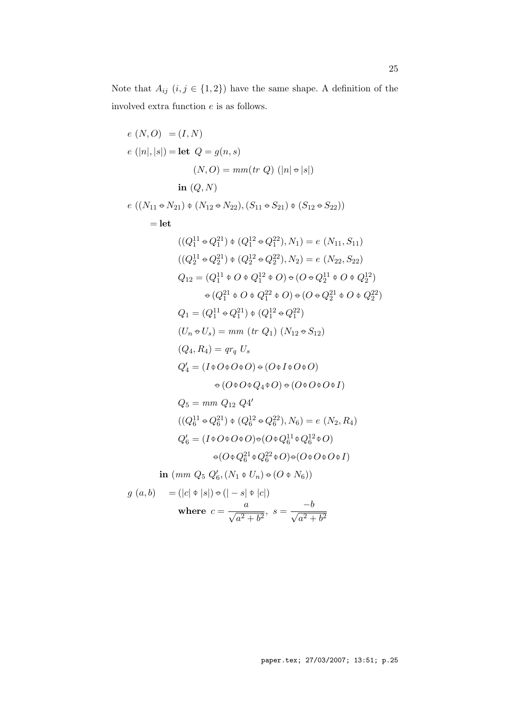Note that  $A_{ij}$   $(i, j \in \{1, 2\})$  have the same shape. A definition of the involved extra function *e* is as follows.

e (N, O) = (I, N)  
\ne (|n|, |s|) = let 
$$
Q = g(n, s)
$$
  
\n(N, O) =  $mm(tr Q)$  (|n|  $\Rightarrow$  |s|)  
\nin (Q, N)  
\ne ((N<sub>11</sub>  $\Rightarrow$  N<sub>21</sub>)  $\phi$  (N<sub>12</sub>  $\Rightarrow$  N<sub>22</sub>), (S<sub>11</sub>  $\Rightarrow$  S<sub>21</sub>)  $\phi$  (S<sub>12</sub>  $\Rightarrow$  S<sub>22</sub>))  
\n= let  
\n((Q<sub>1</sub><sup>11</sup>  $\Rightarrow$  Q<sub>1</sub><sup>21</sup>)  $\phi$  (Q<sub>1</sub><sup>12</sup>  $\Rightarrow$  Q<sub>1</sub><sup>22</sup>), N<sub>1</sub>) = e (N<sub>11</sub>, S<sub>11</sub>)  
\n((Q<sub>2</sub><sup>11</sup>  $\Rightarrow$  Q<sub>2</sub><sup>21</sup>)  $\phi$  (Q<sub>2</sub><sup>12</sup>  $\Rightarrow$  Q<sub>2</sub><sup>22</sup>), N<sub>2</sub>) = e (N<sub>22</sub>, S<sub>22</sub>)  
\nQ<sub>12</sub> = (Q<sub>1</sub><sup>11</sup>  $\phi$  O  $\phi$  Q<sub>1</sub><sup>12</sup>  $\phi$  O)  $\Rightarrow$  (O  $\Rightarrow$  Q<sub>2</sub><sup>12</sup>  $\phi$  O  $\phi$  Q<sub>2</sub><sup>22</sup>)  
\n $\phi$  (Q<sub>1</sub><sup>21</sup>  $\phi$  O  $\phi$  Q<sub>1</sub><sup>22</sup>  $\phi$  O)  $\phi$  (O  $\Rightarrow$  Q<sub>2</sub><sup>21</sup>  $\phi$  O  $\phi$  Q<sub>2</sub><sup>22</sup>)  
\n $Q_1 = (Q_1^{11}  $\Rightarrow$  Q<sub>1</sub><sup>21</sup>)  $\phi$  (Q<sub>1</sub><sup>12</sup>  $\Rightarrow$$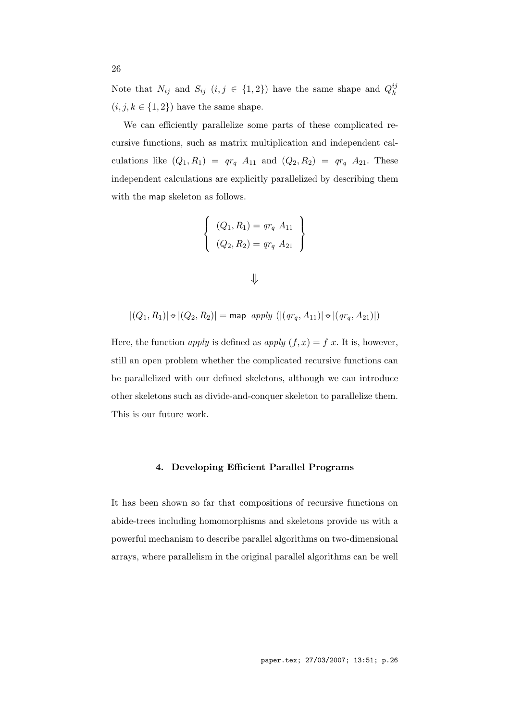Note that  $N_{ij}$  and  $S_{ij}$   $(i, j \in \{1, 2\})$  have the same shape and  $Q_k^{ij}$ *k*  $(i, j, k \in \{1, 2\})$  have the same shape.

We can efficiently parallelize some parts of these complicated recursive functions, such as matrix multiplication and independent calculations like  $(Q_1, R_1) = qr_q A_{11}$  and  $(Q_2, R_2) = qr_q A_{21}$ . These independent calculations are explicitly parallelized by describing them with the map skeleton as follows.

$$
\begin{cases}\n(Q_1, R_1) = qr_q \ A_{11} \\
(Q_2, R_2) = qr_q \ A_{21}\n\end{cases}
$$

| ╲ | ٦<br>۰.<br>z<br>ĉ<br>I |
|---|------------------------|

$$
|(Q_1, R_1)| \oplus |(Q_2, R_2)| = \text{map } apply (|(qr_q, A_{11})| \oplus |(qr_q, A_{21})|)
$$

Here, the function *apply* is defined as *apply*  $(f, x) = f(x)$ . It is, however, still an open problem whether the complicated recursive functions can be parallelized with our defined skeletons, although we can introduce other skeletons such as divide-and-conquer skeleton to parallelize them. This is our future work.

## **4. Developing Efficient Parallel Programs**

It has been shown so far that compositions of recursive functions on abide-trees including homomorphisms and skeletons provide us with a powerful mechanism to describe parallel algorithms on two-dimensional arrays, where parallelism in the original parallel algorithms can be well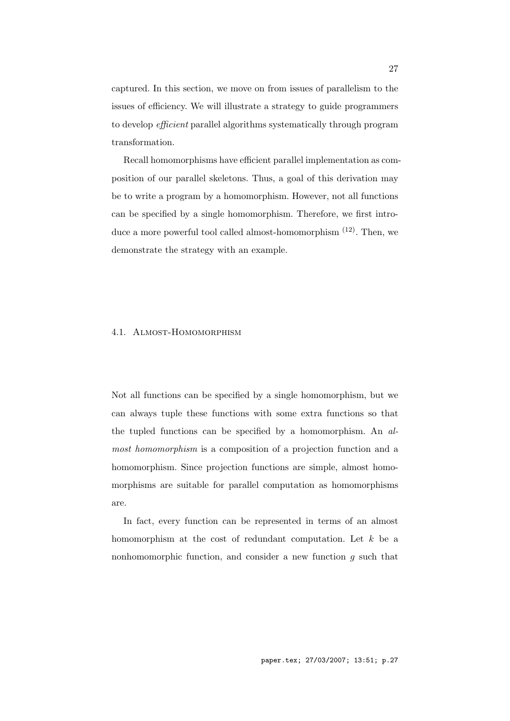captured. In this section, we move on from issues of parallelism to the issues of efficiency. We will illustrate a strategy to guide programmers to develop *efficient* parallel algorithms systematically through program transformation.

Recall homomorphisms have efficient parallel implementation as composition of our parallel skeletons. Thus, a goal of this derivation may be to write a program by a homomorphism. However, not all functions can be specified by a single homomorphism. Therefore, we first introduce a more powerful tool called almost-homomorphism  $(12)$ . Then, we demonstrate the strategy with an example.

## 4.1. Almost-Homomorphism

Not all functions can be specified by a single homomorphism, but we can always tuple these functions with some extra functions so that the tupled functions can be specified by a homomorphism. An *almost homomorphism* is a composition of a projection function and a homomorphism. Since projection functions are simple, almost homomorphisms are suitable for parallel computation as homomorphisms are.

In fact, every function can be represented in terms of an almost homomorphism at the cost of redundant computation. Let *k* be a nonhomomorphic function, and consider a new function *g* such that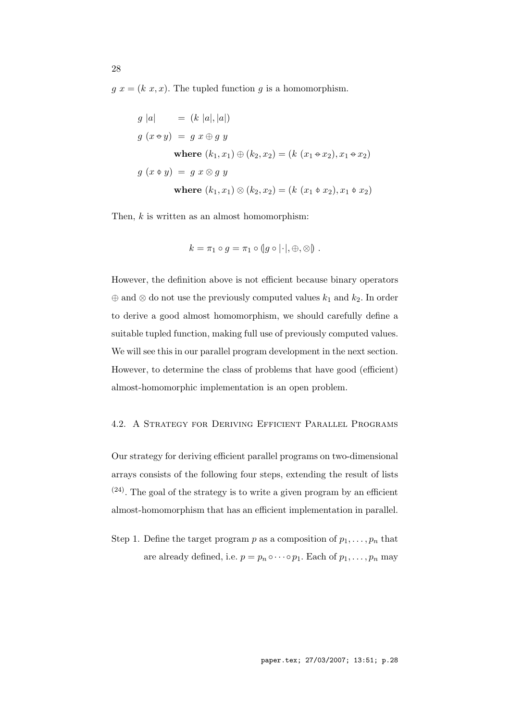$g(x) = (k(x, x))$ . The tupled function  $g$  is a homomorphism.

$$
g |a| = (k |a|, |a|)
$$
  
\n
$$
g (x \oplus y) = g x \oplus g y
$$
  
\nwhere  $(k_1, x_1) \oplus (k_2, x_2) = (k (x_1 \oplus x_2), x_1 \oplus x_2)$   
\n
$$
g (x \oplus y) = g x \otimes g y
$$
  
\nwhere  $(k_1, x_1) \otimes (k_2, x_2) = (k (x_1 \oplus x_2), x_1 \oplus x_2)$ 

Then, *k* is written as an almost homomorphism:

$$
k = \pi_1 \circ g = \pi_1 \circ (g \circ |\cdot|, \oplus, \otimes).
$$

However, the definition above is not efficient because binary operators *⊕* and *⊗* do not use the previously computed values *k*<sup>1</sup> and *k*2. In order to derive a good almost homomorphism, we should carefully define a suitable tupled function, making full use of previously computed values. We will see this in our parallel program development in the next section. However, to determine the class of problems that have good (efficient) almost-homomorphic implementation is an open problem.

# 4.2. A Strategy for Deriving Efficient Parallel Programs

Our strategy for deriving efficient parallel programs on two-dimensional arrays consists of the following four steps, extending the result of lists  $(24)$ . The goal of the strategy is to write a given program by an efficient almost-homomorphism that has an efficient implementation in parallel.

Step 1. Define the target program  $p$  as a composition of  $p_1, \ldots, p_n$  that are already defined, i.e.  $p = p_n \circ \cdots \circ p_1$ . Each of  $p_1, \ldots, p_n$  may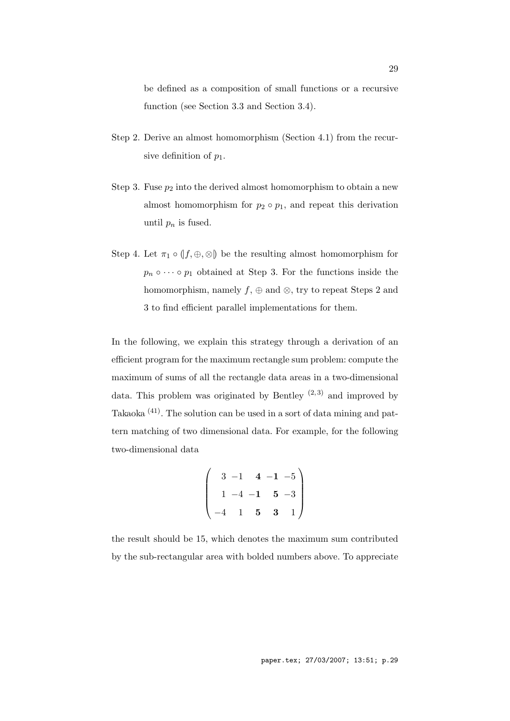be defined as a composition of small functions or a recursive function (see Section 3.3 and Section 3.4).

- Step 2. Derive an almost homomorphism (Section 4.1) from the recursive definition of *p*1.
- Step 3. Fuse  $p_2$  into the derived almost homomorphism to obtain a new almost homomorphism for  $p_2 \circ p_1$ , and repeat this derivation until  $p_n$  is fused.
- Step 4. Let  $\pi_1 \circ (f, \oplus, \otimes)$  be the resulting almost homomorphism for  $p_n \circ \cdots \circ p_1$  obtained at Step 3. For the functions inside the homomorphism, namely *f*, *⊕* and *⊗*, try to repeat Steps 2 and 3 to find efficient parallel implementations for them.

In the following, we explain this strategy through a derivation of an efficient program for the maximum rectangle sum problem: compute the maximum of sums of all the rectangle data areas in a two-dimensional data. This problem was originated by Bentley  $(2,3)$  and improved by Takaoka (41). The solution can be used in a sort of data mining and pattern matching of two dimensional data. For example, for the following two-dimensional data

$$
\begin{pmatrix}\n3 & -1 & 4 & -1 & -5 \\
1 & -4 & -1 & 5 & -3 \\
-4 & 1 & 5 & 3 & 1\n\end{pmatrix}
$$

the result should be 15, which denotes the maximum sum contributed by the sub-rectangular area with bolded numbers above. To appreciate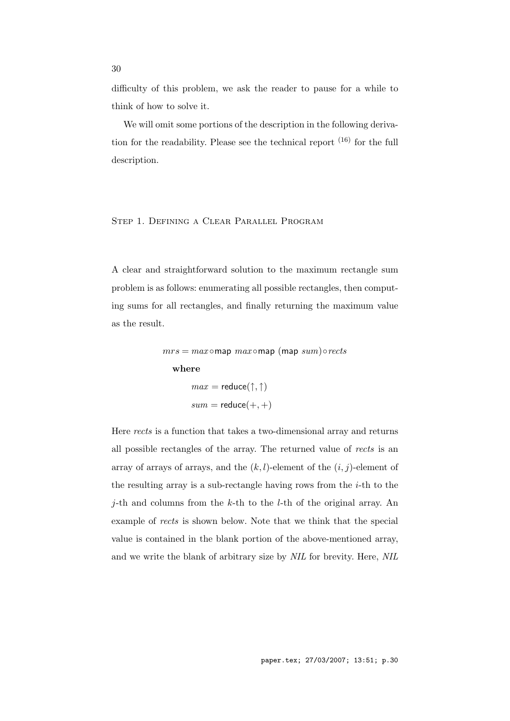difficulty of this problem, we ask the reader to pause for a while to think of how to solve it.

We will omit some portions of the description in the following derivation for the readability. Please see the technical report  $(16)$  for the full description.

# Step 1. Defining a Clear Parallel Program

A clear and straightforward solution to the maximum rectangle sum problem is as follows: enumerating all possible rectangles, then computing sums for all rectangles, and finally returning the maximum value as the result.

 $mrs = max \circ \text{map } max \circ \text{map } (\text{map } sum) \circ rects$ 

## **where**

$$
max = reduce(\uparrow, \uparrow)
$$

$$
sum = reduce(+, +)
$$

Here *rects* is a function that takes a two-dimensional array and returns all possible rectangles of the array. The returned value of *rects* is an array of arrays of arrays, and the  $(k, l)$ -element of the  $(i, j)$ -element of the resulting array is a sub-rectangle having rows from the *i*-th to the *j*-th and columns from the *k*-th to the *l*-th of the original array. An example of *rects* is shown below. Note that we think that the special value is contained in the blank portion of the above-mentioned array, and we write the blank of arbitrary size by *NIL* for brevity. Here, *NIL*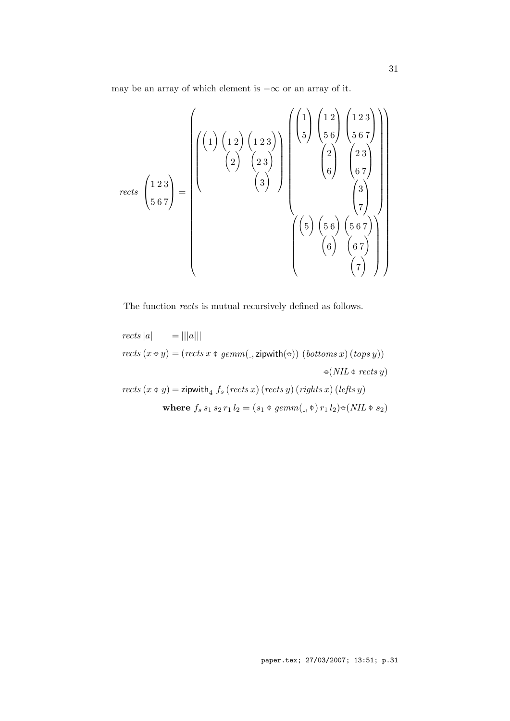may be an array of which element is *−∞* or an array of it.

$$
rects \begin{pmatrix} 1 & 2 & 3 \ 5 & 6 & 7 \end{pmatrix} = \begin{pmatrix} 1 & 2 & 4 & 5 \ 0 & 2 & 3 \ 0 & 6 & 7 \end{pmatrix} \begin{pmatrix} 1 & 2 & 5 & 6 \ 0 & 5 & 6 & 7 \ 0 & 6 & 7 \end{pmatrix} \begin{pmatrix} 1 & 2 & 3 \ 0 & 2 & 3 \ 0 & 6 & 7 \end{pmatrix}
$$

$$
rects \begin{pmatrix} 1 & 2 & 3 \ 5 & 6 & 7 \ 5 & 6 & 7 \end{pmatrix} = \begin{pmatrix} 1 & 2 & 3 \ 0 & 2 & 3 \ 0 & 0 & 7 \end{pmatrix} \begin{pmatrix} 1 & 2 & 3 \ 0 & 5 & 6 \ 0 & 6 & 7 \end{pmatrix} \begin{pmatrix} 3 & 3 & 3 \ 0 & 5 & 6 \ 0 & 6 & 7 \end{pmatrix} \begin{pmatrix} 3 & 6 & 7 \ 0 & 6 & 7 \ 0 & 0 & 7 \end{pmatrix} \end{pmatrix}
$$

The function *rects* is mutual recursively defined as follows.

\n
$$
\text{rects } |a| = |||a|||
$$
\n

\n\n $\text{rects } (x \oplus y) = (\text{rects } x \oplus \text{gemm}(\text{)} , z \text{ipwith}(\oplus)) (\text{bottoms } x) (\text{tops } y))$ \n

\n\n $\text{rects } (x \oplus y) = \text{zipwith}_4 f_s (\text{rects } x) (\text{rects } y) (\text{rights } x) (\text{lefts } y)$ \n

\n\n $\text{where } f_s s_1 s_2 r_1 l_2 = (s_1 \oplus \text{gemm}(\text{)} \oplus) r_1 l_2) \oplus (\text{NIL} \oplus s_2)$ \n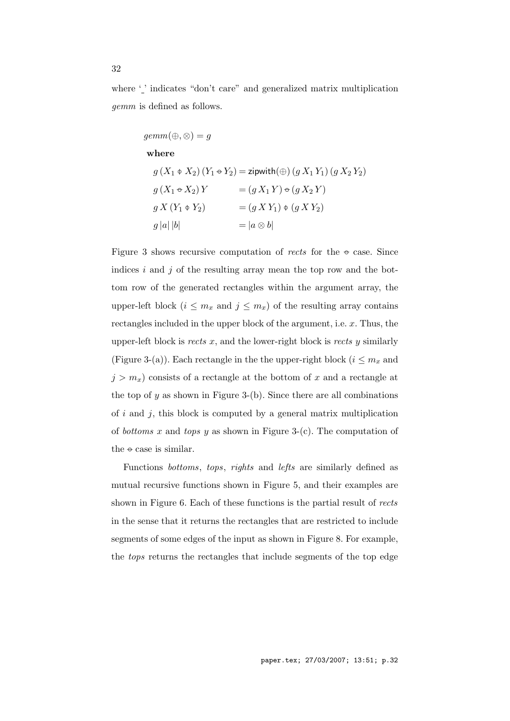where '' indicates "don't care" and generalized matrix multiplication *gemm* is defined as follows.

$$
gemm(\oplus, \otimes) = g
$$
  
\nwhere  
\n
$$
g(X_1 \oplus X_2) (Y_1 \oplus Y_2) = \text{zipwith}(\oplus) (g X_1 Y_1) (g X_2 Y_2)
$$
  
\n
$$
g(X_1 \oplus X_2) Y = (g X_1 Y) \oplus (g X_2 Y)
$$
  
\n
$$
g X (Y_1 \oplus Y_2) = (g X Y_1) \oplus (g X Y_2)
$$
  
\n
$$
g |a| |b| = |a \otimes b|
$$

Figure 3 shows recursive computation of *rects* for the *−◦* case. Since indices *i* and *j* of the resulting array mean the top row and the bottom row of the generated rectangles within the argument array, the upper-left block  $(i \leq m_x$  and  $j \leq m_x)$  of the resulting array contains rectangles included in the upper block of the argument, i.e. *x*. Thus, the upper-left block is *rects x*, and the lower-right block is *rects y* similarly (Figure 3-(a)). Each rectangle in the the upper-right block ( $i \leq m_x$  and  $j > m_x$ ) consists of a rectangle at the bottom of *x* and a rectangle at the top of  $y$  as shown in Figure 3-(b). Since there are all combinations of *i* and *j*, this block is computed by a general matrix multiplication of *bottoms x* and *tops y* as shown in Figure 3-(c). The computation of the *−◦* case is similar.

Functions *bottoms*, *tops*, *rights* and *lefts* are similarly defined as mutual recursive functions shown in Figure 5, and their examples are shown in Figure 6. Each of these functions is the partial result of *rects* in the sense that it returns the rectangles that are restricted to include segments of some edges of the input as shown in Figure 8. For example, the *tops* returns the rectangles that include segments of the top edge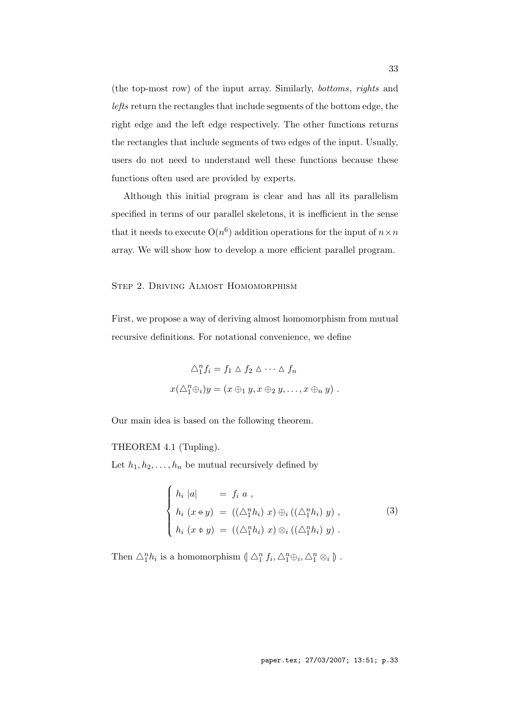(the top-most row) of the input array. Similarly, *bottoms*, *rights* and *lefts* return the rectangles that include segments of the bottom edge, the right edge and the left edge respectively. The other functions returns the rectangles that include segments of two edges of the input. Usually, users do not need to understand well these functions because these functions often used are provided by experts.

Although this initial program is clear and has all its parallelism specified in terms of our parallel skeletons, it is inefficient in the sense that it needs to execute  $O(n^6)$  addition operations for the input of  $n \times n$ array. We will show how to develop a more efficient parallel program.

## Step 2. Driving Almost Homomorphism

First, we propose a way of deriving almost homomorphism from mutual recursive definitions. For notational convenience, we define

$$
\triangle_1^n f_i = f_1 \triangle f_2 \triangle \cdots \triangle f_n
$$
  

$$
x(\triangle_1^n \oplus_i) y = (x \oplus_1 y, x \oplus_2 y, \dots, x \oplus_n y).
$$

Our main idea is based on the following theorem.

#### THEOREM 4.1 (Tupling).

Let  $h_1, h_2, \ldots, h_n$  be mutual recursively defined by

$$
\begin{cases}\nh_i |a| &= f_i a, \\
h_i (x \oplus y) &= ((\triangle_1^n h_i) x) \oplus_i ((\triangle_1^n h_i) y), \\
h_i (x \oplus y) &= ((\triangle_1^n h_i) x) \otimes_i ((\triangle_1^n h_i) y).\n\end{cases}
$$
\n(3)

Then  $\triangle_1^n h_i$  is a homomorphism  $(\triangle_1^n f_i, \triangle_1^n \oplus_i, \triangle_1^n \otimes_i)$ .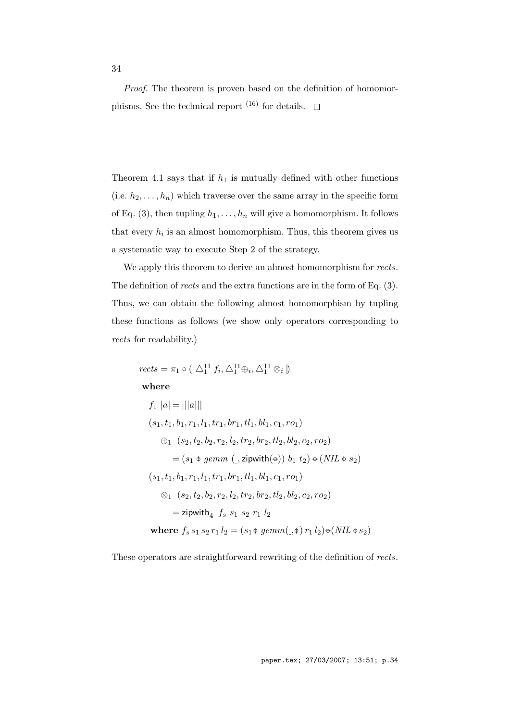*Proof.* The theorem is proven based on the definition of homomorphisms. See the technical report  $^{(16)}$  for details.  $\quad \Box$ 

Theorem 4.1 says that if  $h_1$  is mutually defined with other functions (i.e.  $h_2, \ldots, h_n$ ) which traverse over the same array in the specific form of Eq. (3), then tupling  $h_1, \ldots, h_n$  will give a homomorphism. It follows that every  $h_i$  is an almost homomorphism. Thus, this theorem gives us a systematic way to execute Step 2 of the strategy.

We apply this theorem to derive an almost homomorphism for *rects*. The definition of *rects* and the extra functions are in the form of Eq. (3). Thus, we can obtain the following almost homomorphism by tupling these functions as follows (we show only operators corresponding to *rects* for readability.)

$$
rects = \pi_1 \circ (\Delta_1^{11} f_i, \Delta_1^{11} \oplus_i, \Delta_1^{11} \otimes_i)
$$
  
\nwhere  
\n
$$
f_1 |a| = |||a|||
$$
  
\n
$$
(s_1, t_1, b_1, r_1, l_1, tr_1, br_1, tl_1, bl_1, c_1, ro_1)
$$
  
\n
$$
\oplus_1 (s_2, t_2, b_2, r_2, l_2, tr_2, br_2, tl_2, bl_2, c_2, ro_2)
$$
  
\n
$$
= (s_1 \uplus \text{gemm } (\Box \text{zipwith}(\uplus)) b_1 t_2) \uplus (NIL \uplus s_2)
$$
  
\n
$$
(s_1, t_1, b_1, r_1, l_1, tr_1, br_1, tl_1, bl_1, c_1, ro_1)
$$
  
\n
$$
\otimes_1 (s_2, t_2, b_2, r_2, l_2, tr_2, br_2, tl_2, bl_2, c_2, ro_2)
$$
  
\n
$$
= \text{zipwith}_4 f_s s_1 s_2 r_1 l_2
$$
  
\nwhere  $f_s s_1 s_2 r_1 l_2 = (s_1 \uplus \text{gemm}(\Box \uplus r_1 l_2) \uplus (NIL \uplus s_2)$ 

These operators are straightforward rewriting of the definition of *rects*.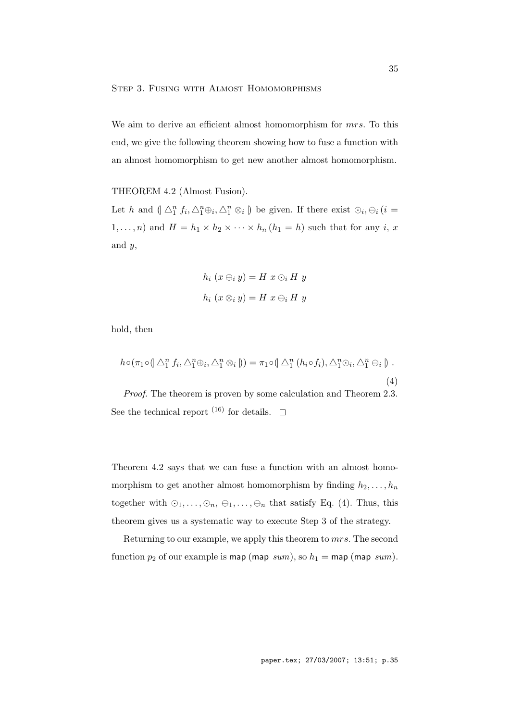We aim to derive an efficient almost homomorphism for *mrs*. To this end, we give the following theorem showing how to fuse a function with an almost homomorphism to get new another almost homomorphism.

## THEOREM 4.2 (Almost Fusion).

Let h and  $(\bigwedge^n_1 f_i, \bigwedge^n_1 \oplus_i, \bigwedge^n_1 \otimes_i)$  be given. If there exist  $\bigcirc_i, \bigcirc_i (i =$ 1,...,*n*) and  $H = h_1 \times h_2 \times \cdots \times h_n (h_1 = h)$  such that for any *i*, *x* and *y*,

$$
h_i (x \oplus_i y) = H x \odot_i H y
$$
  

$$
h_i (x \otimes_i y) = H x \ominus_i H y
$$

hold, then

$$
h \circ (\pi_1 \circ (\Delta_1^n f_i, \Delta_1^n \oplus_i, \Delta_1^n \otimes_i)) = \pi_1 \circ (\Delta_1^n (h_i \circ f_i), \Delta_1^n \odot_i, \Delta_1^n \ominus_i).
$$
\n(4)

*Proof.* The theorem is proven by some calculation and Theorem 2.3. See the technical report <sup>(16)</sup> for details.  $\square$ 

Theorem 4.2 says that we can fuse a function with an almost homomorphism to get another almost homomorphism by finding  $h_2, \ldots, h_n$ together with  $\odot_1, \ldots, \odot_n, \ominus_1, \ldots, \ominus_n$  that satisfy Eq. (4). Thus, this theorem gives us a systematic way to execute Step 3 of the strategy.

Returning to our example, we apply this theorem to *mrs*. The second function  $p_2$  of our example is map (map  $sum$ ), so  $h_1 =$  map (map  $sum$ ).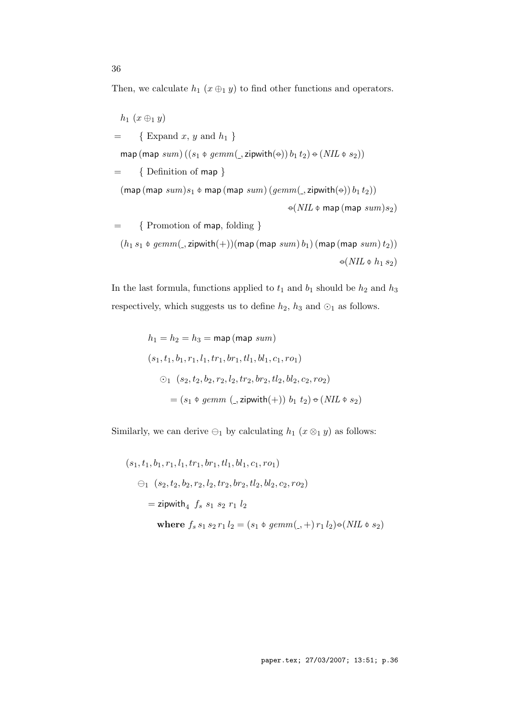Then, we calculate  $h_1$  ( $x \oplus_1 y$ ) to find other functions and operators.

$$
h_1 (x \oplus_1 y)
$$
\n
$$
= \{ \text{ Expand } x, y \text{ and } h_1 \}
$$
\n
$$
\text{map } (\text{map } sum) ((s_1 \oplus \text{germn}(\_,zipwith(\ominus)) b_1 t_2) \ominus (NIL \oplus s_2))
$$
\n
$$
= \{ \text{Definition of } \text{map} \}
$$
\n
$$
(\text{map } (\text{map } sum)s_1 \oplus \text{map } (\text{map } sum) (gemm(\_,zipwith(\ominus)) b_1 t_2))
$$
\n
$$
\ominus (NIL \oplus \text{map } (map sum)s_2)
$$
\n
$$
= \{ \text{Fromotion of } \text{map}, \text{ folding} \}
$$
\n
$$
(h_1 s_1 \oplus \text{germn}(\_,zipwith(+)) (\text{map } (\text{map } sum) b_1) (\text{map } (\text{map } sum) t_2))
$$
\n
$$
\ominus (NIL \oplus h_1 s_2)
$$

In the last formula, functions applied to  $t_1$  and  $b_1$  should be  $h_2$  and  $h_3$ respectively, which suggests us to define  $h_2, \, h_3$  and  $\odot_1$  as follows.

$$
h_1 = h_2 = h_3 = \text{map (map sum)}
$$
  
\n
$$
(s_1, t_1, b_1, r_1, l_1, tr_1, br_1, tl_1, bl_1, c_1, ro_1)
$$
  
\n
$$
\odot_1 (s_2, t_2, b_2, r_2, l_2, tr_2, br_2, tl_2, bl_2, c_2, ro_2)
$$
  
\n
$$
= (s_1 \uplus \text{gemm } (\underline{\text{, zipwith}}(+)) b_1 t_2) \uplus (NIL \uplus s_2)
$$

Similarly, we can derive  $\ominus_1$  by calculating  $h_1$  ( $x \otimes_1 y$ ) as follows:

$$
(s_1, t_1, b_1, r_1, l_1, tr_1, br_1, tl_1, bl_1, c_1, ro_1)
$$
  
\n
$$
\ominus_1 (s_2, t_2, b_2, r_2, l_2, tr_2, br_2, tl_2, bl_2, c_2, ro_2)
$$
  
\n
$$
= \text{zipwith}_4 f_s s_1 s_2 r_1 l_2
$$
  
\nwhere  $f_s s_1 s_2 r_1 l_2 = (s_1 \phi \text{ gemm}(\cdot, +) r_1 l_2) \Theta(NIL \phi s_2)$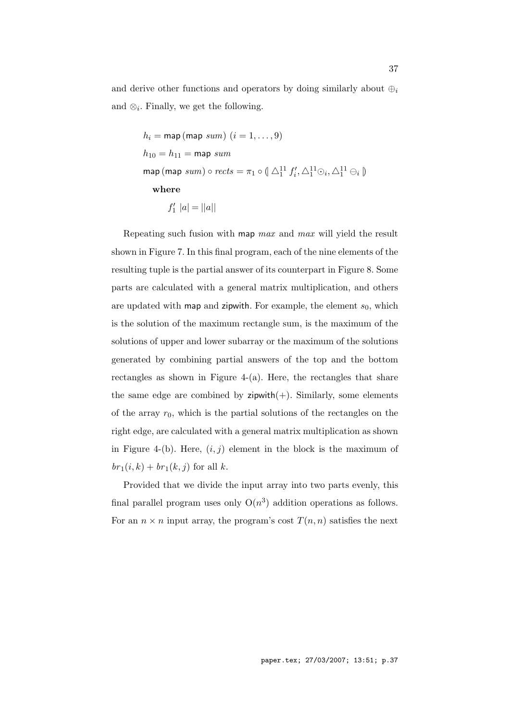and derive other functions and operators by doing similarly about  $\bigoplus_i$ and  $\otimes_i$ . Finally, we get the following.

$$
h_i = \text{map (map sum)} (i = 1, ..., 9)
$$
  
\n
$$
h_{10} = h_{11} = \text{map sum}
$$
  
\n
$$
\text{map (map sum)} \circ rects = \pi_1 \circ (\text{min}^1 f'_i, \text{min}^1 \odot_i, \text{min}^1 \odot_i)
$$
  
\n
$$
\text{where}
$$
  
\n
$$
f'_1 |a| = ||a||
$$

Repeating such fusion with map *max* and *max* will yield the result shown in Figure 7. In this final program, each of the nine elements of the resulting tuple is the partial answer of its counterpart in Figure 8. Some parts are calculated with a general matrix multiplication, and others are updated with map and zipwith. For example, the element  $s_0$ , which is the solution of the maximum rectangle sum, is the maximum of the solutions of upper and lower subarray or the maximum of the solutions generated by combining partial answers of the top and the bottom rectangles as shown in Figure  $4-(a)$ . Here, the rectangles that share the same edge are combined by  $zipwith(+)$ . Similarly, some elements of the array *r*0, which is the partial solutions of the rectangles on the right edge, are calculated with a general matrix multiplication as shown in Figure 4-(b). Here,  $(i, j)$  element in the block is the maximum of  $br_1(i, k) + br_1(k, j)$  for all *k*.

Provided that we divide the input array into two parts evenly, this final parallel program uses only  $O(n^3)$  addition operations as follows. For an  $n \times n$  input array, the program's cost  $T(n, n)$  satisfies the next

paper.tex; 27/03/2007; 13:51; p.37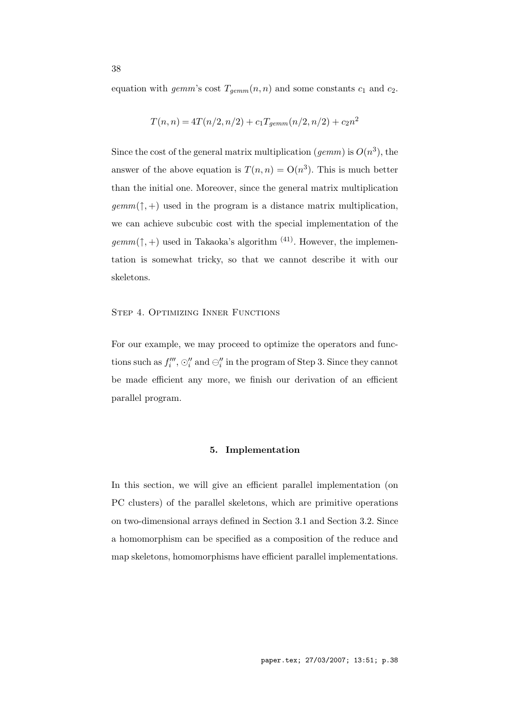equation with *gemm*'s cost  $T_{\text{gemm}}(n, n)$  and some constants  $c_1$  and  $c_2$ .

$$
T(n, n) = 4T(n/2, n/2) + c_1 T_{gemm}(n/2, n/2) + c_2 n^2
$$

Since the cost of the general matrix multiplication (*gemm*) is  $O(n^3)$ , the answer of the above equation is  $T(n,n) = O(n^3)$ . This is much better than the initial one. Moreover, since the general matrix multiplication  $\text{gamma}(^{\uparrow}, +)$  used in the program is a distance matrix multiplication, we can achieve subcubic cost with the special implementation of the  $\textit{gemm}(\uparrow, +)$  used in Takaoka's algorithm <sup>(41)</sup>. However, the implementation is somewhat tricky, so that we cannot describe it with our skeletons.

## Step 4. Optimizing Inner Functions

For our example, we may proceed to optimize the operators and functions such as  $f_i'''$ ,  $\odot_i''$  and  $\ominus_i''$  in the program of Step 3. Since they cannot be made efficient any more, we finish our derivation of an efficient parallel program.

## **5. Implementation**

In this section, we will give an efficient parallel implementation (on PC clusters) of the parallel skeletons, which are primitive operations on two-dimensional arrays defined in Section 3.1 and Section 3.2. Since a homomorphism can be specified as a composition of the reduce and map skeletons, homomorphisms have efficient parallel implementations.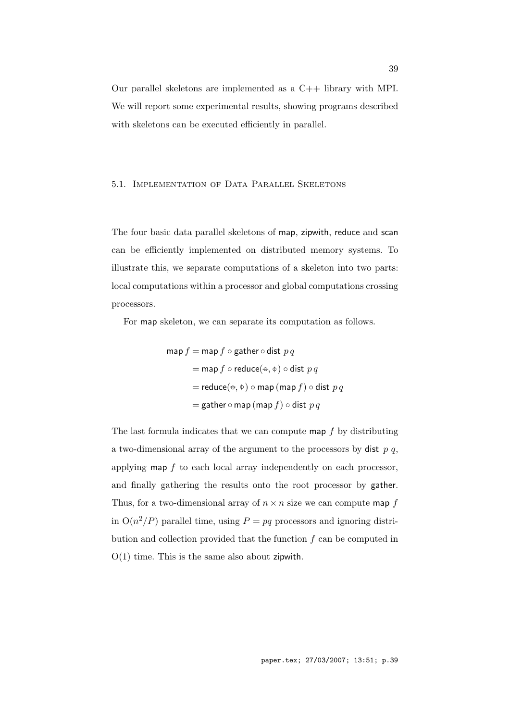Our parallel skeletons are implemented as a C++ library with MPI. We will report some experimental results, showing programs described with skeletons can be executed efficiently in parallel.

## 5.1. Implementation of Data Parallel Skeletons

The four basic data parallel skeletons of map, zipwith, reduce and scan can be efficiently implemented on distributed memory systems. To illustrate this, we separate computations of a skeleton into two parts: local computations within a processor and global computations crossing processors.

For map skeleton, we can separate its computation as follows.

$$
\begin{aligned}\n\mathsf{map}\,f &= \mathsf{map}\,f \circ \mathsf{gather} \circ \mathsf{dist}\ p\ q \\
&= \mathsf{map}\,f \circ \mathsf{reduce}(\mathsf{e}, \mathsf{\Phi}) \circ \mathsf{dist}\ p\ q \\
&= \mathsf{reduce}(\mathsf{e}, \mathsf{\Phi}) \circ \mathsf{map}\,(\mathsf{map}\,f) \circ \mathsf{dist}\ p\ q \\
&= \mathsf{gather} \circ \mathsf{map}\,(\mathsf{map}\,f) \circ \mathsf{dist}\ p\ q\n\end{aligned}
$$

The last formula indicates that we can compute map *f* by distributing a two-dimensional array of the argument to the processors by dist *p q*, applying map *f* to each local array independently on each processor, and finally gathering the results onto the root processor by gather. Thus, for a two-dimensional array of  $n \times n$  size we can compute map  $f$ in  $O(n^2/P)$  parallel time, using  $P = pq$  processors and ignoring distribution and collection provided that the function *f* can be computed in  $O(1)$  time. This is the same also about zipwith.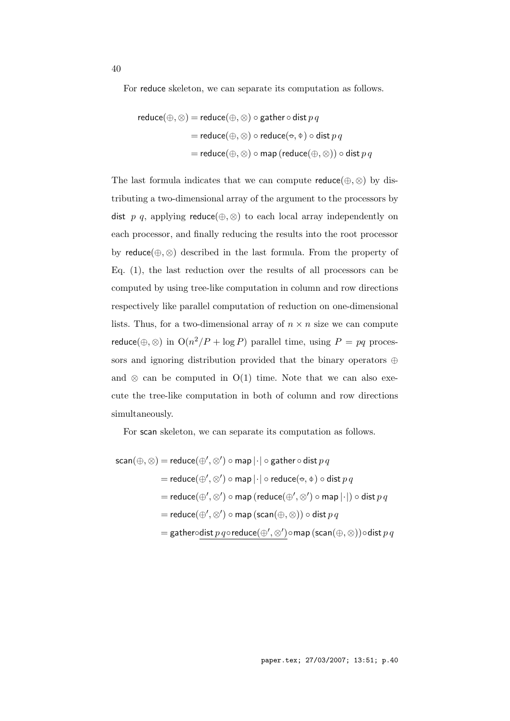For reduce skeleton, we can separate its computation as follows.

$$
\begin{aligned} \text{reduce}(\oplus,\otimes) &= \text{reduce}(\oplus,\otimes) \circ \text{gather} \circ \text{dist}\, p \, q \\ &= \text{reduce}(\oplus,\otimes) \circ \text{reduce}(\bullet,\Phi) \circ \text{dist}\, p \, q \\ &= \text{reduce}(\oplus,\otimes) \circ \text{map}\, (\text{reduce}(\oplus,\otimes)) \circ \text{dist}\, p \, q \end{aligned}
$$

The last formula indicates that we can compute  $reduce(\oplus, \otimes)$  by distributing a two-dimensional array of the argument to the processors by dist *p q*, applying reduce( $\oplus$ ,  $\otimes$ ) to each local array independently on each processor, and finally reducing the results into the root processor by reduce(*⊕, ⊗*) described in the last formula. From the property of Eq. (1), the last reduction over the results of all processors can be computed by using tree-like computation in column and row directions respectively like parallel computation of reduction on one-dimensional lists. Thus, for a two-dimensional array of  $n \times n$  size we can compute reduce( $\bigoplus$ ,  $\otimes$ ) in  $O(n^2/P + \log P)$  parallel time, using  $P = pq$  processors and ignoring distribution provided that the binary operators *⊕* and  $\otimes$  can be computed in O(1) time. Note that we can also execute the tree-like computation in both of column and row directions simultaneously.

For scan skeleton, we can separate its computation as follows.

$$
\begin{aligned} \mathsf{scan}(\oplus,\otimes) &= \mathsf{reduce}(\oplus',\otimes') \circ \mathsf{map} \, | \cdot | \circ \mathsf{gather} \circ \mathsf{dist}\, p \, q \\ &= \mathsf{reduce}(\oplus',\otimes') \circ \mathsf{map} \, | \cdot | \circ \mathsf{reduce}(\ominus,\varphi) \circ \mathsf{dist}\, p \, q \\ &= \mathsf{reduce}(\oplus',\otimes') \circ \mathsf{map} \, (\mathsf{reduce}(\oplus',\otimes') \circ \mathsf{map} \, | \cdot |) \circ \mathsf{dist}\, p \, q \\ &= \mathsf{reduce}(\oplus',\otimes') \circ \mathsf{map} \, (\mathsf{scan}(\oplus,\otimes)) \circ \mathsf{dist}\, p \, q \\ &= \mathsf{gathered}(\oplus',\otimes') \circ \mathsf{map} \, (\mathsf{scan}(\oplus,\otimes)) \circ \mathsf{dist}\, p \, q \end{aligned}
$$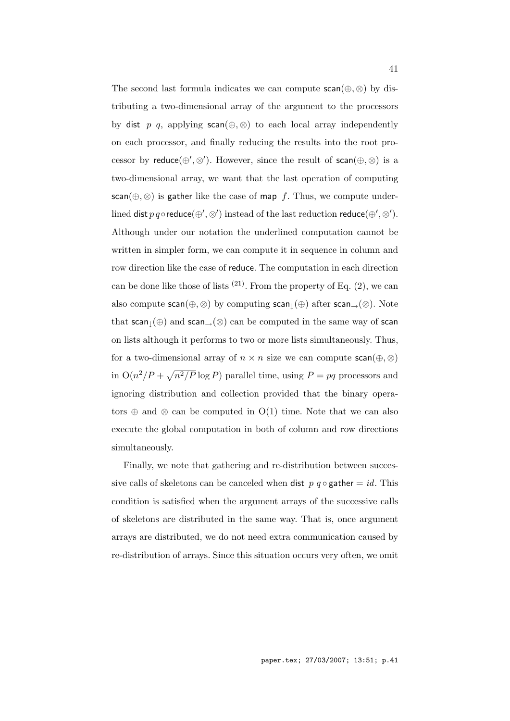The second last formula indicates we can compute  $scan(\oplus, \otimes)$  by distributing a two-dimensional array of the argument to the processors by dist *p q*, applying scan( $\oplus$ ,  $\otimes$ ) to each local array independently on each processor, and finally reducing the results into the root processor by reduce $(\oplus', \otimes')$ . However, since the result of scan $(\oplus, \otimes)$  is a two-dimensional array, we want that the last operation of computing scan( $\oplus$ ,  $\otimes$ ) is gather like the case of map *f*. Thus, we compute underlined  $\mathsf{dist}\,p\,q \circ \mathsf{reduce}(\oplus', \otimes')$  instead of the last reduction  $\mathsf{reduce}(\oplus', \otimes').$ Although under our notation the underlined computation cannot be written in simpler form, we can compute it in sequence in column and row direction like the case of reduce. The computation in each direction can be done like those of lists  $(21)$ . From the property of Eq. (2), we can also compute scan(*⊕, ⊗*) by computing scan*↓*(*⊕*) after scan*→*(*⊗*). Note that scan*↓*(*⊕*) and scan*→*(*⊗*) can be computed in the same way of scan on lists although it performs to two or more lists simultaneously. Thus, for a two-dimensional array of  $n \times n$  size we can compute scan( $\oplus$ ,  $\otimes$ ) in  $O(n^2/P + \sqrt{n^2/P} \log P)$  parallel time, using  $P = pq$  processors and ignoring distribution and collection provided that the binary operators *⊕* and *⊗* can be computed in O(1) time. Note that we can also execute the global computation in both of column and row directions simultaneously.

Finally, we note that gathering and re-distribution between successive calls of skeletons can be canceled when dist  $p \ q \circ \text{gather} = id$ . This condition is satisfied when the argument arrays of the successive calls of skeletons are distributed in the same way. That is, once argument arrays are distributed, we do not need extra communication caused by re-distribution of arrays. Since this situation occurs very often, we omit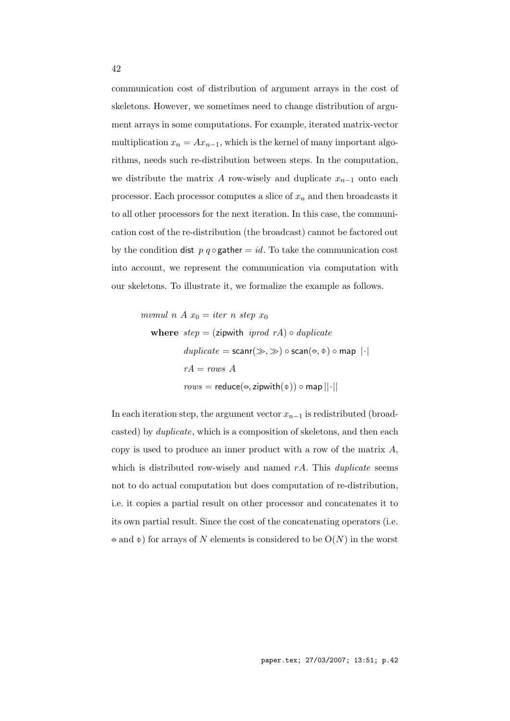communication cost of distribution of argument arrays in the cost of skeletons. However, we sometimes need to change distribution of argument arrays in some computations. For example, iterated matrix-vector multiplication  $x_n = Ax_{n-1}$ , which is the kernel of many important algorithms, needs such re-distribution between steps. In the computation, we distribute the matrix *A* row-wisely and duplicate *xn−*<sup>1</sup> onto each processor. Each processor computes a slice of *x<sup>n</sup>* and then broadcasts it to all other processors for the next iteration. In this case, the communication cost of the re-distribution (the broadcast) cannot be factored out by the condition dist  $p \, q \circ \text{gather} = id$ . To take the communication cost into account, we represent the communication via computation with our skeletons. To illustrate it, we formalize the example as follows.

$$
mvmul n A x_0 = iter n step x_0
$$
\nwhere  $step = (zipwith \text{ } iprod \text{ } nA) \circ duplicate$ 

\n
$$
duplicate = scanr(\gg, \gg) \circ scan(\leftrightarrow, \phi) \circ map | \cdot |
$$
\n
$$
rA = rows \text{ } A
$$
\n
$$
rows = reduce(\leftrightarrow, zipwith(\phi)) \circ map || \cdot ||
$$

In each iteration step, the argument vector *xn−*<sup>1</sup> is redistributed (broadcasted) by *duplicate*, which is a composition of skeletons, and then each copy is used to produce an inner product with a row of the matrix *A*, which is distributed row-wisely and named *rA*. This *duplicate* seems not to do actual computation but does computation of re-distribution, i.e. it copies a partial result on other processor and concatenates it to its own partial result. Since the cost of the concatenating operators (i.e. *−◦* and *−◦*) for arrays of *N* elements is considered to be O(*N*) in the worst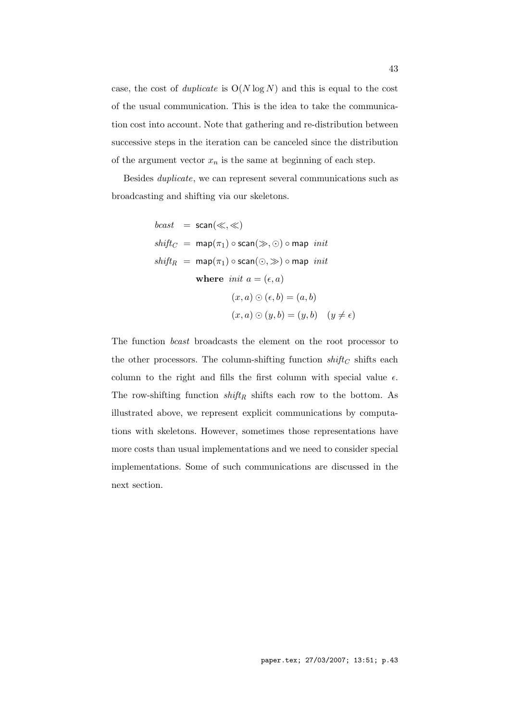case, the cost of *duplicate* is  $O(N \log N)$  and this is equal to the cost of the usual communication. This is the idea to take the communication cost into account. Note that gathering and re-distribution between successive steps in the iteration can be canceled since the distribution of the argument vector  $x_n$  is the same at beginning of each step.

Besides *duplicate*, we can represent several communications such as broadcasting and shifting via our skeletons.

$$
bcast = scan(\ll, \ll)
$$
\n
$$
shift_C = map(\pi_1) \circ scan(\gg, \odot) \circ map \ init
$$
\n
$$
shift_R = map(\pi_1) \circ scan(\odot, \gg) \circ map \ init
$$
\n
$$
where \ init \ a = (\epsilon, a)
$$
\n
$$
(x, a) \odot (\epsilon, b) = (a, b)
$$
\n
$$
(x, a) \odot (y, b) = (y, b) \quad (y \neq \epsilon)
$$

The function *bcast* broadcasts the element on the root processor to the other processors. The column-shifting function  $shift_C$  shifts each column to the right and fills the first column with special value  $\epsilon$ . The row-shifting function  $\textit{shift}_R$  shifts each row to the bottom. As illustrated above, we represent explicit communications by computations with skeletons. However, sometimes those representations have more costs than usual implementations and we need to consider special implementations. Some of such communications are discussed in the next section.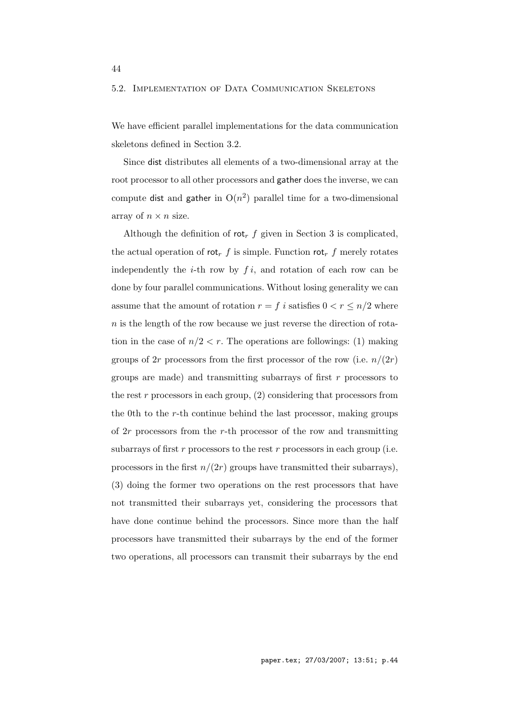## 5.2. Implementation of Data Communication Skeletons

We have efficient parallel implementations for the data communication skeletons defined in Section 3.2.

Since dist distributes all elements of a two-dimensional array at the root processor to all other processors and gather does the inverse, we can compute dist and gather in  $O(n^2)$  parallel time for a two-dimensional array of  $n \times n$  size.

Although the definition of  $\mathsf{rot}_r$  *f* given in Section 3 is complicated, the actual operation of rot<sub>r</sub>  $f$  is simple. Function rot<sub>r</sub>  $f$  merely rotates independently the  $i$ -th row by  $f i$ , and rotation of each row can be done by four parallel communications. Without losing generality we can assume that the amount of rotation  $r = f$  *i* satisfies  $0 < r \leq n/2$  where *n* is the length of the row because we just reverse the direction of rotation in the case of  $n/2 < r$ . The operations are followings: (1) making groups of 2*r* processors from the first processor of the row (i.e.  $n/(2r)$ ) groups are made) and transmitting subarrays of first *r* processors to the rest *r* processors in each group, (2) considering that processors from the 0th to the *r*-th continue behind the last processor, making groups of 2*r* processors from the *r*-th processor of the row and transmitting subarrays of first *r* processors to the rest *r* processors in each group (i.e. processors in the first  $n/(2r)$  groups have transmitted their subarrays), (3) doing the former two operations on the rest processors that have not transmitted their subarrays yet, considering the processors that have done continue behind the processors. Since more than the half processors have transmitted their subarrays by the end of the former two operations, all processors can transmit their subarrays by the end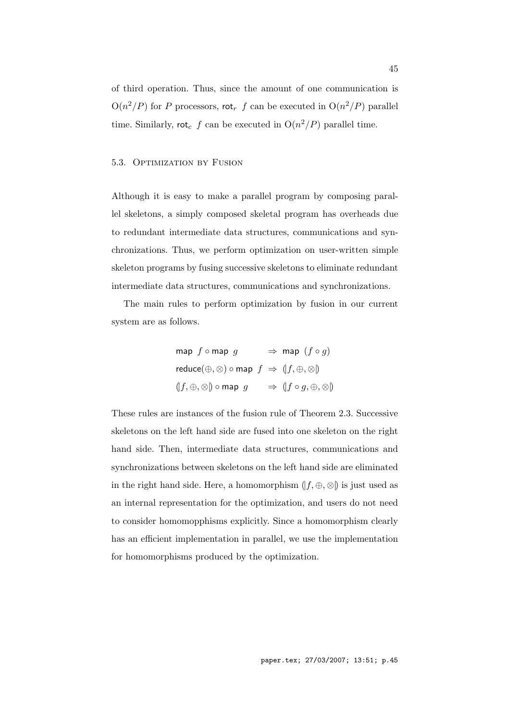of third operation. Thus, since the amount of one communication is  $O(n^2/P)$  for *P* processors, rot<sub>*r*</sub> *f* can be executed in  $O(n^2/P)$  parallel time. Similarly,  $\mathsf{rot}_c$  *f* can be executed in  $O(n^2/P)$  parallel time.

## 5.3. Optimization by Fusion

Although it is easy to make a parallel program by composing parallel skeletons, a simply composed skeletal program has overheads due to redundant intermediate data structures, communications and synchronizations. Thus, we perform optimization on user-written simple skeleton programs by fusing successive skeletons to eliminate redundant intermediate data structures, communications and synchronizations.

The main rules to perform optimization by fusion in our current system are as follows.

$$
\begin{aligned}\n\text{map } f \circ \text{map } g &\Rightarrow \text{map } (f \circ g) \\
\text{reduce}(\oplus, \otimes) \circ \text{map } f &\Rightarrow (f, \oplus, \otimes) \\
\text{(}f, \oplus, \otimes) \circ \text{map } g &\Rightarrow (f \circ g, \oplus, \otimes) \\
\end{aligned}
$$

These rules are instances of the fusion rule of Theorem 2.3. Successive skeletons on the left hand side are fused into one skeleton on the right hand side. Then, intermediate data structures, communications and synchronizations between skeletons on the left hand side are eliminated in the right hand side. Here, a homomorphism  $(f, \oplus, \otimes)$  is just used as an internal representation for the optimization, and users do not need to consider homomopphisms explicitly. Since a homomorphism clearly has an efficient implementation in parallel, we use the implementation for homomorphisms produced by the optimization.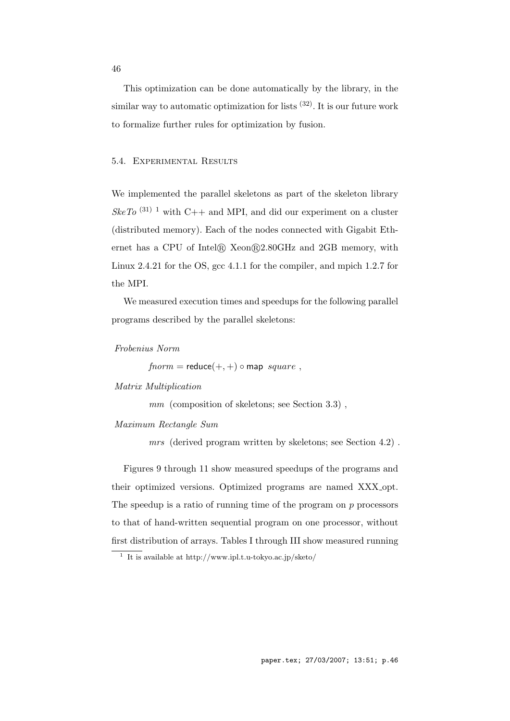This optimization can be done automatically by the library, in the similar way to automatic optimization for lists  $(32)$ . It is our future work to formalize further rules for optimization by fusion.

## 5.4. Experimental Results

We implemented the parallel skeletons as part of the skeleton library  $SkeTo$ <sup>(31)</sup> <sup>1</sup> with C++ and MPI, and did our experiment on a cluster (distributed memory). Each of the nodes connected with Gigabit Ethernet has a CPU of Intel<sup>®</sup> Xeon<sup>®</sup>2.80GHz and 2GB memory, with Linux 2.4.21 for the OS, gcc 4.1.1 for the compiler, and mpich 1.2.7 for the MPI.

We measured execution times and speedups for the following parallel programs described by the parallel skeletons:

*Frobenius Norm*

 $fnorm =$  reduce $(+, +) \circ$  map *square*,

# *Matrix Multiplication*

*mm* (composition of skeletons; see Section 3.3) ,

#### *Maximum Rectangle Sum*

*mrs* (derived program written by skeletons; see Section 4.2) .

Figures 9 through 11 show measured speedups of the programs and their optimized versions. Optimized programs are named XXX opt. The speedup is a ratio of running time of the program on *p* processors to that of hand-written sequential program on one processor, without first distribution of arrays. Tables I through III show measured running

<sup>1</sup> It is available at http://www.ipl.t.u-tokyo.ac.jp/sketo/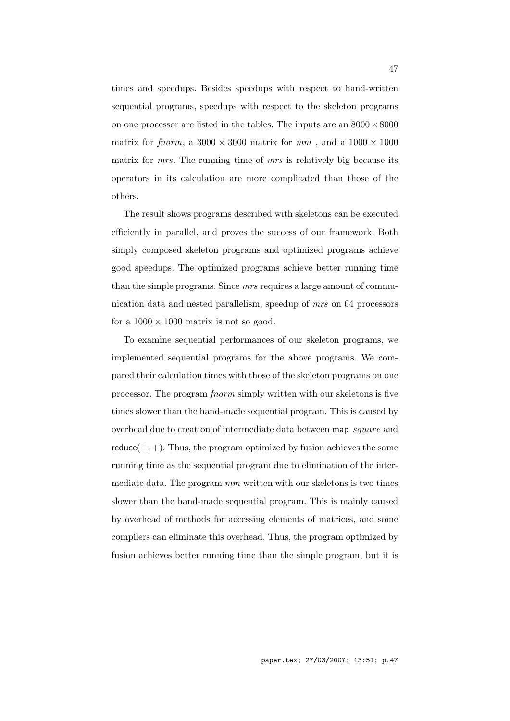times and speedups. Besides speedups with respect to hand-written sequential programs, speedups with respect to the skeleton programs on one processor are listed in the tables. The inputs are an 8000*×*8000 matrix for *fnorm*, a  $3000 \times 3000$  matrix for *mm*, and a  $1000 \times 1000$ matrix for *mrs*. The running time of *mrs* is relatively big because its operators in its calculation are more complicated than those of the others.

The result shows programs described with skeletons can be executed efficiently in parallel, and proves the success of our framework. Both simply composed skeleton programs and optimized programs achieve good speedups. The optimized programs achieve better running time than the simple programs. Since *mrs* requires a large amount of communication data and nested parallelism, speedup of *mrs* on 64 processors for a  $1000 \times 1000$  matrix is not so good.

To examine sequential performances of our skeleton programs, we implemented sequential programs for the above programs. We compared their calculation times with those of the skeleton programs on one processor. The program *fnorm* simply written with our skeletons is five times slower than the hand-made sequential program. This is caused by overhead due to creation of intermediate data between map *square* and  $reduce(+, +)$ . Thus, the program optimized by fusion achieves the same running time as the sequential program due to elimination of the intermediate data. The program *mm* written with our skeletons is two times slower than the hand-made sequential program. This is mainly caused by overhead of methods for accessing elements of matrices, and some compilers can eliminate this overhead. Thus, the program optimized by fusion achieves better running time than the simple program, but it is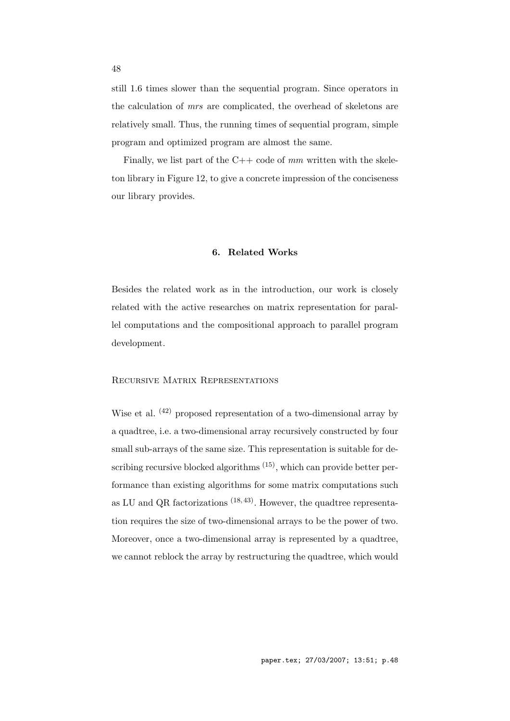still 1.6 times slower than the sequential program. Since operators in the calculation of *mrs* are complicated, the overhead of skeletons are relatively small. Thus, the running times of sequential program, simple program and optimized program are almost the same.

Finally, we list part of the C++ code of  $mm$  written with the skeleton library in Figure 12, to give a concrete impression of the conciseness our library provides.

#### **6. Related Works**

Besides the related work as in the introduction, our work is closely related with the active researches on matrix representation for parallel computations and the compositional approach to parallel program development.

## Recursive Matrix Representations

Wise et al. <sup>(42)</sup> proposed representation of a two-dimensional array by a quadtree, i.e. a two-dimensional array recursively constructed by four small sub-arrays of the same size. This representation is suitable for describing recursive blocked algorithms  $(15)$ , which can provide better performance than existing algorithms for some matrix computations such as LU and QR factorizations  $(18, 43)$ . However, the quadtree representation requires the size of two-dimensional arrays to be the power of two. Moreover, once a two-dimensional array is represented by a quadtree, we cannot reblock the array by restructuring the quadtree, which would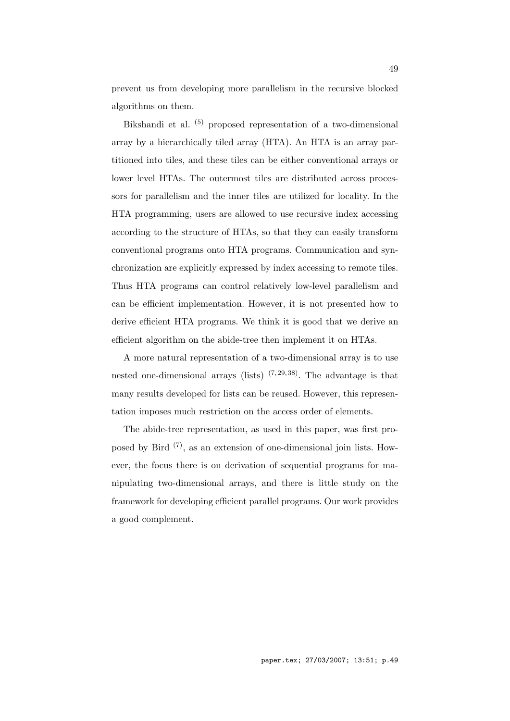prevent us from developing more parallelism in the recursive blocked algorithms on them.

Bikshandi et al. (5) proposed representation of a two-dimensional array by a hierarchically tiled array (HTA). An HTA is an array partitioned into tiles, and these tiles can be either conventional arrays or lower level HTAs. The outermost tiles are distributed across processors for parallelism and the inner tiles are utilized for locality. In the HTA programming, users are allowed to use recursive index accessing according to the structure of HTAs, so that they can easily transform conventional programs onto HTA programs. Communication and synchronization are explicitly expressed by index accessing to remote tiles. Thus HTA programs can control relatively low-level parallelism and can be efficient implementation. However, it is not presented how to derive efficient HTA programs. We think it is good that we derive an efficient algorithm on the abide-tree then implement it on HTAs.

A more natural representation of a two-dimensional array is to use nested one-dimensional arrays (lists)  $(7, 29, 38)$ . The advantage is that many results developed for lists can be reused. However, this representation imposes much restriction on the access order of elements.

The abide-tree representation, as used in this paper, was first proposed by Bird (7), as an extension of one-dimensional join lists. However, the focus there is on derivation of sequential programs for manipulating two-dimensional arrays, and there is little study on the framework for developing efficient parallel programs. Our work provides a good complement.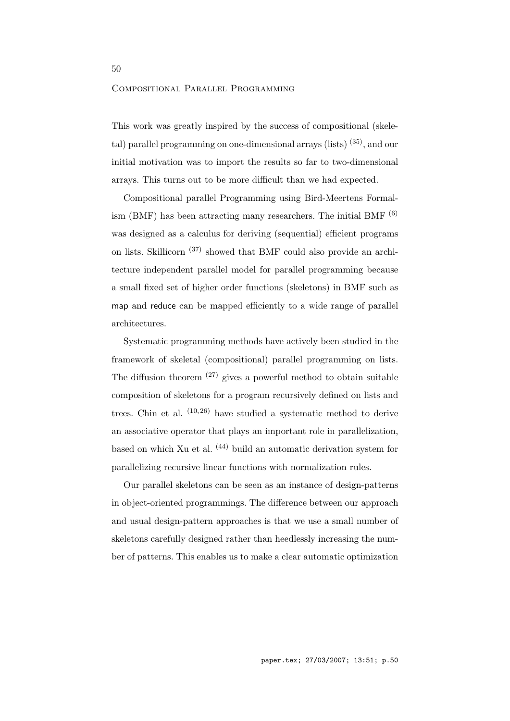### Compositional Parallel Programming

This work was greatly inspired by the success of compositional (skeletal) parallel programming on one-dimensional arrays (lists) (35), and our initial motivation was to import the results so far to two-dimensional arrays. This turns out to be more difficult than we had expected.

Compositional parallel Programming using Bird-Meertens Formalism (BMF) has been attracting many researchers. The initial BMF  $^{(6)}$ was designed as a calculus for deriving (sequential) efficient programs on lists. Skillicorn (37) showed that BMF could also provide an architecture independent parallel model for parallel programming because a small fixed set of higher order functions (skeletons) in BMF such as map and reduce can be mapped efficiently to a wide range of parallel architectures.

Systematic programming methods have actively been studied in the framework of skeletal (compositional) parallel programming on lists. The diffusion theorem  $(27)$  gives a powerful method to obtain suitable composition of skeletons for a program recursively defined on lists and trees. Chin et al.  $(10, 26)$  have studied a systematic method to derive an associative operator that plays an important role in parallelization, based on which Xu et al.  $(44)$  build an automatic derivation system for parallelizing recursive linear functions with normalization rules.

Our parallel skeletons can be seen as an instance of design-patterns in object-oriented programmings. The difference between our approach and usual design-pattern approaches is that we use a small number of skeletons carefully designed rather than heedlessly increasing the number of patterns. This enables us to make a clear automatic optimization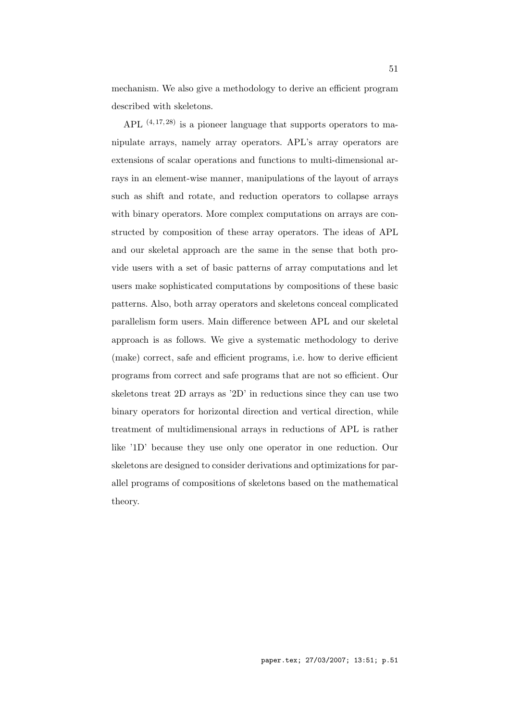mechanism. We also give a methodology to derive an efficient program described with skeletons.

APL  $(4, 17, 28)$  is a pioneer language that supports operators to manipulate arrays, namely array operators. APL's array operators are extensions of scalar operations and functions to multi-dimensional arrays in an element-wise manner, manipulations of the layout of arrays such as shift and rotate, and reduction operators to collapse arrays with binary operators. More complex computations on arrays are constructed by composition of these array operators. The ideas of APL and our skeletal approach are the same in the sense that both provide users with a set of basic patterns of array computations and let users make sophisticated computations by compositions of these basic patterns. Also, both array operators and skeletons conceal complicated parallelism form users. Main difference between APL and our skeletal approach is as follows. We give a systematic methodology to derive (make) correct, safe and efficient programs, i.e. how to derive efficient programs from correct and safe programs that are not so efficient. Our skeletons treat 2D arrays as '2D' in reductions since they can use two binary operators for horizontal direction and vertical direction, while treatment of multidimensional arrays in reductions of APL is rather like '1D' because they use only one operator in one reduction. Our skeletons are designed to consider derivations and optimizations for parallel programs of compositions of skeletons based on the mathematical theory.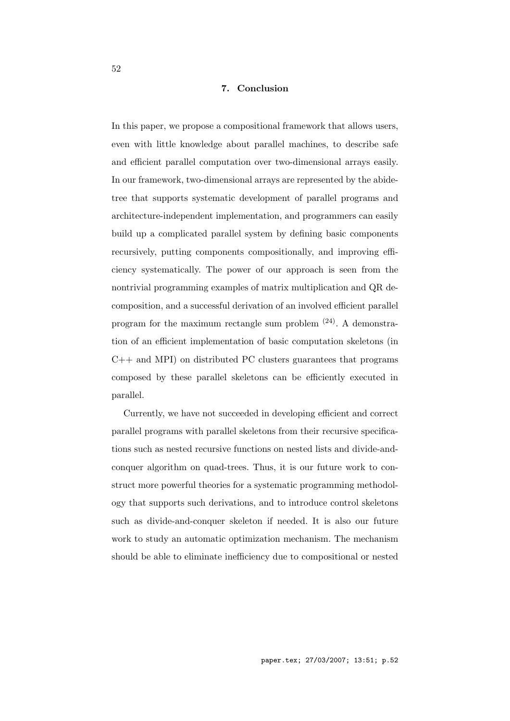## **7. Conclusion**

In this paper, we propose a compositional framework that allows users, even with little knowledge about parallel machines, to describe safe and efficient parallel computation over two-dimensional arrays easily. In our framework, two-dimensional arrays are represented by the abidetree that supports systematic development of parallel programs and architecture-independent implementation, and programmers can easily build up a complicated parallel system by defining basic components recursively, putting components compositionally, and improving efficiency systematically. The power of our approach is seen from the nontrivial programming examples of matrix multiplication and QR decomposition, and a successful derivation of an involved efficient parallel program for the maximum rectangle sum problem (24). A demonstration of an efficient implementation of basic computation skeletons (in  $C++$  and MPI) on distributed PC clusters guarantees that programs composed by these parallel skeletons can be efficiently executed in parallel.

Currently, we have not succeeded in developing efficient and correct parallel programs with parallel skeletons from their recursive specifications such as nested recursive functions on nested lists and divide-andconquer algorithm on quad-trees. Thus, it is our future work to construct more powerful theories for a systematic programming methodology that supports such derivations, and to introduce control skeletons such as divide-and-conquer skeleton if needed. It is also our future work to study an automatic optimization mechanism. The mechanism should be able to eliminate inefficiency due to compositional or nested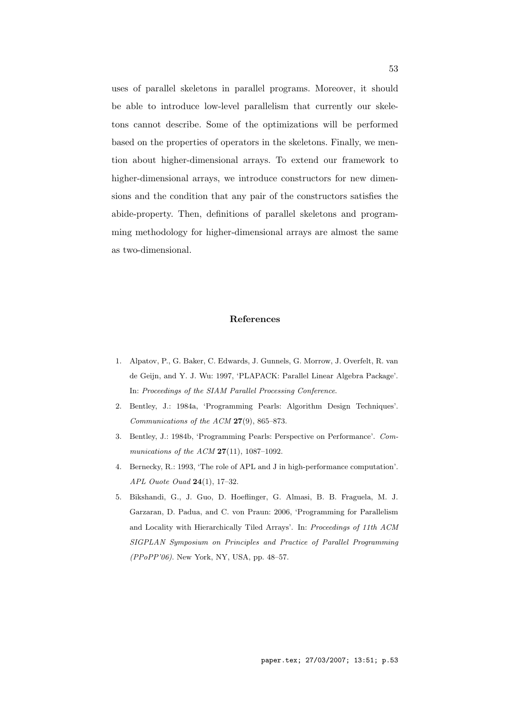uses of parallel skeletons in parallel programs. Moreover, it should be able to introduce low-level parallelism that currently our skeletons cannot describe. Some of the optimizations will be performed based on the properties of operators in the skeletons. Finally, we mention about higher-dimensional arrays. To extend our framework to higher-dimensional arrays, we introduce constructors for new dimensions and the condition that any pair of the constructors satisfies the abide-property. Then, definitions of parallel skeletons and programming methodology for higher-dimensional arrays are almost the same as two-dimensional.

#### **References**

- 1. Alpatov, P., G. Baker, C. Edwards, J. Gunnels, G. Morrow, J. Overfelt, R. van de Geijn, and Y. J. Wu: 1997, 'PLAPACK: Parallel Linear Algebra Package'. In: *Proceedings of the SIAM Parallel Processing Conference*.
- 2. Bentley, J.: 1984a, 'Programming Pearls: Algorithm Design Techniques'. *Communications of the ACM* **27**(9), 865–873.
- 3. Bentley, J.: 1984b, 'Programming Pearls: Perspective on Performance'. *Communications of the ACM* **27**(11), 1087–1092.
- 4. Bernecky, R.: 1993, 'The role of APL and J in high-performance computation'. *APL Ouote Ouad* **24**(1), 17–32.
- 5. Bikshandi, G., J. Guo, D. Hoeflinger, G. Almasi, B. B. Fraguela, M. J. Garzaran, D. Padua, and C. von Praun: 2006, 'Programming for Parallelism and Locality with Hierarchically Tiled Arrays'. In: *Proceedings of 11th ACM SIGPLAN Symposium on Principles and Practice of Parallel Programming (PPoPP'06)*. New York, NY, USA, pp. 48–57.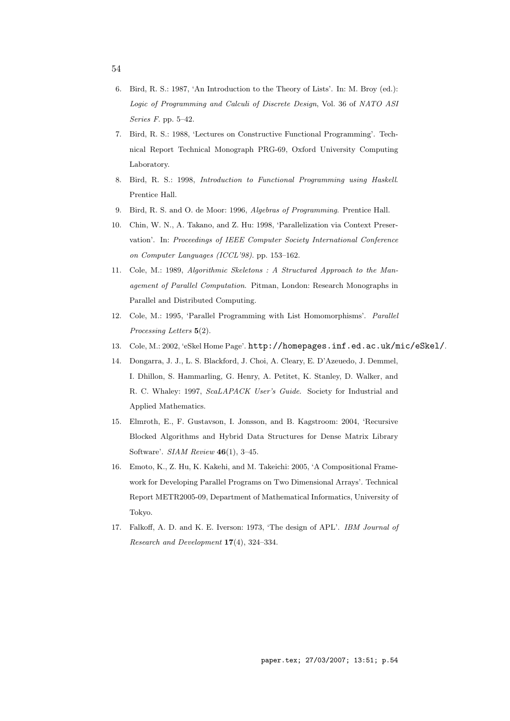- 54
- 6. Bird, R. S.: 1987, 'An Introduction to the Theory of Lists'. In: M. Broy (ed.): *Logic of Programming and Calculi of Discrete Design*, Vol. 36 of *NATO ASI Series F*. pp. 5–42.
- 7. Bird, R. S.: 1988, 'Lectures on Constructive Functional Programming'. Technical Report Technical Monograph PRG-69, Oxford University Computing Laboratory.
- 8. Bird, R. S.: 1998, *Introduction to Functional Programming using Haskell*. Prentice Hall.
- 9. Bird, R. S. and O. de Moor: 1996, *Algebras of Programming*. Prentice Hall.
- 10. Chin, W. N., A. Takano, and Z. Hu: 1998, 'Parallelization via Context Preservation'. In: *Proceedings of IEEE Computer Society International Conference on Computer Languages (ICCL'98)*. pp. 153–162.
- 11. Cole, M.: 1989, *Algorithmic Skeletons : A Structured Approach to the Management of Parallel Computation*. Pitman, London: Research Monographs in Parallel and Distributed Computing.
- 12. Cole, M.: 1995, 'Parallel Programming with List Homomorphisms'. *Parallel Processing Letters* **5**(2).
- 13. Cole, M.: 2002, 'eSkel Home Page'. http://homepages.inf.ed.ac.uk/mic/eSkel/.
- 14. Dongarra, J. J., L. S. Blackford, J. Choi, A. Cleary, E. D'Azeuedo, J. Demmel, I. Dhillon, S. Hammarling, G. Henry, A. Petitet, K. Stanley, D. Walker, and R. C. Whaley: 1997, *ScaLAPACK User's Guide*. Society for Industrial and Applied Mathematics.
- 15. Elmroth, E., F. Gustavson, I. Jonsson, and B. Kagstroom: 2004, 'Recursive Blocked Algorithms and Hybrid Data Structures for Dense Matrix Library Software'. *SIAM Review* **46**(1), 3–45.
- 16. Emoto, K., Z. Hu, K. Kakehi, and M. Takeichi: 2005, 'A Compositional Framework for Developing Parallel Programs on Two Dimensional Arrays'. Technical Report METR2005-09, Department of Mathematical Informatics, University of Tokyo.
- 17. Falkoff, A. D. and K. E. Iverson: 1973, 'The design of APL'. *IBM Journal of Research and Development* **17**(4), 324–334.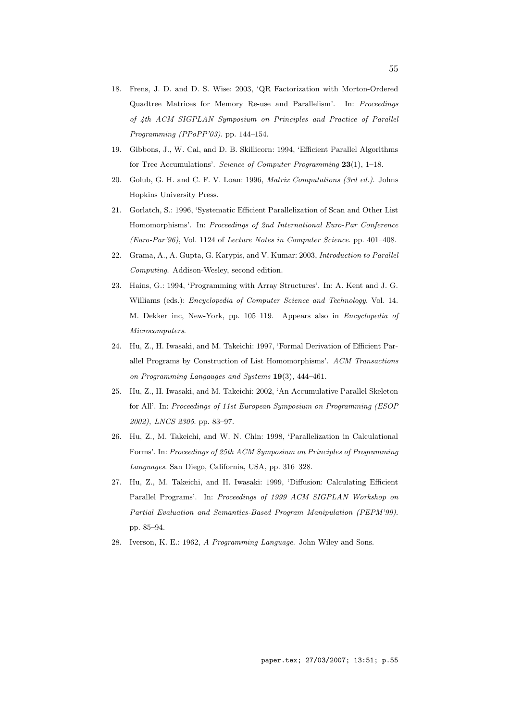- 18. Frens, J. D. and D. S. Wise: 2003, 'QR Factorization with Morton-Ordered Quadtree Matrices for Memory Re-use and Parallelism'. In: *Proceedings of 4th ACM SIGPLAN Symposium on Principles and Practice of Parallel Programming (PPoPP'03)*. pp. 144–154.
- 19. Gibbons, J., W. Cai, and D. B. Skillicorn: 1994, 'Efficient Parallel Algorithms for Tree Accumulations'. *Science of Computer Programming* **23**(1), 1–18.
- 20. Golub, G. H. and C. F. V. Loan: 1996, *Matrix Computations (3rd ed.)*. Johns Hopkins University Press.
- 21. Gorlatch, S.: 1996, 'Systematic Efficient Parallelization of Scan and Other List Homomorphisms'. In: *Proceedings of 2nd International Euro-Par Conference (Euro-Par'96)*, Vol. 1124 of *Lecture Notes in Computer Science*. pp. 401–408.
- 22. Grama, A., A. Gupta, G. Karypis, and V. Kumar: 2003, *Introduction to Parallel Computing*. Addison-Wesley, second edition.
- 23. Hains, G.: 1994, 'Programming with Array Structures'. In: A. Kent and J. G. Williams (eds.): *Encyclopedia of Computer Science and Technology*, Vol. 14. M. Dekker inc, New-York, pp. 105–119. Appears also in *Encyclopedia of Microcomputers*.
- 24. Hu, Z., H. Iwasaki, and M. Takeichi: 1997, 'Formal Derivation of Efficient Parallel Programs by Construction of List Homomorphisms'. *ACM Transactions on Programming Langauges and Systems* **19**(3), 444–461.
- 25. Hu, Z., H. Iwasaki, and M. Takeichi: 2002, 'An Accumulative Parallel Skeleton for All'. In: *Proceedings of 11st European Symposium on Programming (ESOP 2002), LNCS 2305*. pp. 83–97.
- 26. Hu, Z., M. Takeichi, and W. N. Chin: 1998, 'Parallelization in Calculational Forms'. In: *Proceedings of 25th ACM Symposium on Principles of Programming Languages*. San Diego, California, USA, pp. 316–328.
- 27. Hu, Z., M. Takeichi, and H. Iwasaki: 1999, 'Diffusion: Calculating Efficient Parallel Programs'. In: *Proceedings of 1999 ACM SIGPLAN Workshop on Partial Evaluation and Semantics-Based Program Manipulation (PEPM'99)*. pp. 85–94.
- 28. Iverson, K. E.: 1962, *A Programming Language*. John Wiley and Sons.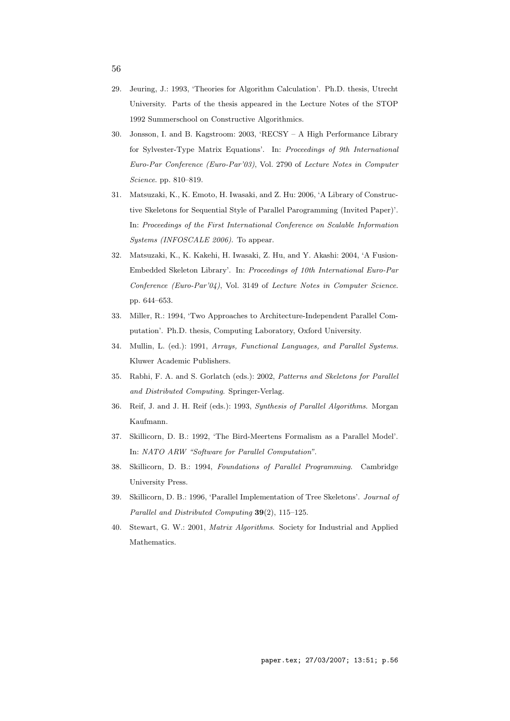- 29. Jeuring, J.: 1993, 'Theories for Algorithm Calculation'. Ph.D. thesis, Utrecht University. Parts of the thesis appeared in the Lecture Notes of the STOP 1992 Summerschool on Constructive Algorithmics.
- 30. Jonsson, I. and B. Kagstroom: 2003, 'RECSY A High Performance Library for Sylvester-Type Matrix Equations'. In: *Proceedings of 9th International Euro-Par Conference (Euro-Par'03)*, Vol. 2790 of *Lecture Notes in Computer Science*. pp. 810–819.
- 31. Matsuzaki, K., K. Emoto, H. Iwasaki, and Z. Hu: 2006, 'A Library of Constructive Skeletons for Sequential Style of Parallel Parogramming (Invited Paper)'. In: *Proceedings of the First International Conference on Scalable Information Systems (INFOSCALE 2006)*. To appear.
- 32. Matsuzaki, K., K. Kakehi, H. Iwasaki, Z. Hu, and Y. Akashi: 2004, 'A Fusion-Embedded Skeleton Library'. In: *Proceedings of 10th International Euro-Par Conference (Euro-Par'04)*, Vol. 3149 of *Lecture Notes in Computer Science*. pp. 644–653.
- 33. Miller, R.: 1994, 'Two Approaches to Architecture-Independent Parallel Computation'. Ph.D. thesis, Computing Laboratory, Oxford University.
- 34. Mullin, L. (ed.): 1991, *Arrays, Functional Languages, and Parallel Systems*. Kluwer Academic Publishers.
- 35. Rabhi, F. A. and S. Gorlatch (eds.): 2002, *Patterns and Skeletons for Parallel and Distributed Computing*. Springer-Verlag.
- 36. Reif, J. and J. H. Reif (eds.): 1993, *Synthesis of Parallel Algorithms*. Morgan Kaufmann.
- 37. Skillicorn, D. B.: 1992, 'The Bird-Meertens Formalism as a Parallel Model'. In: *NATO ARW "Software for Parallel Computation"*.
- 38. Skillicorn, D. B.: 1994, *Foundations of Parallel Programming*. Cambridge University Press.
- 39. Skillicorn, D. B.: 1996, 'Parallel Implementation of Tree Skeletons'. *Journal of Parallel and Distributed Computing* **39**(2), 115–125.
- 40. Stewart, G. W.: 2001, *Matrix Algorithms*. Society for Industrial and Applied Mathematics.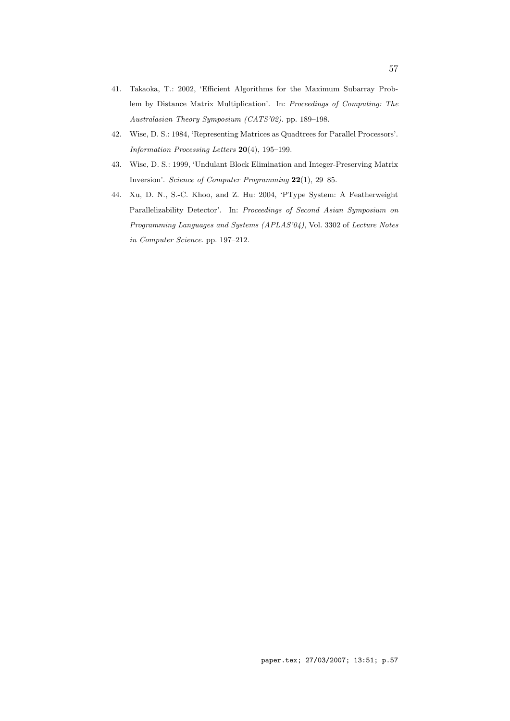- 41. Takaoka, T.: 2002, 'Efficient Algorithms for the Maximum Subarray Problem by Distance Matrix Multiplication'. In: *Proceedings of Computing: The Australasian Theory Symposium (CATS'02)*. pp. 189–198.
- 42. Wise, D. S.: 1984, 'Representing Matrices as Quadtrees for Parallel Processors'. *Information Processing Letters* **20**(4), 195–199.
- 43. Wise, D. S.: 1999, 'Undulant Block Elimination and Integer-Preserving Matrix Inversion'. *Science of Computer Programming* **22**(1), 29–85.
- 44. Xu, D. N., S.-C. Khoo, and Z. Hu: 2004, 'PType System: A Featherweight Parallelizability Detector'. In: *Proceedings of Second Asian Symposium on Programming Languages and Systems (APLAS'04)*, Vol. 3302 of *Lecture Notes in Computer Science*. pp. 197–212.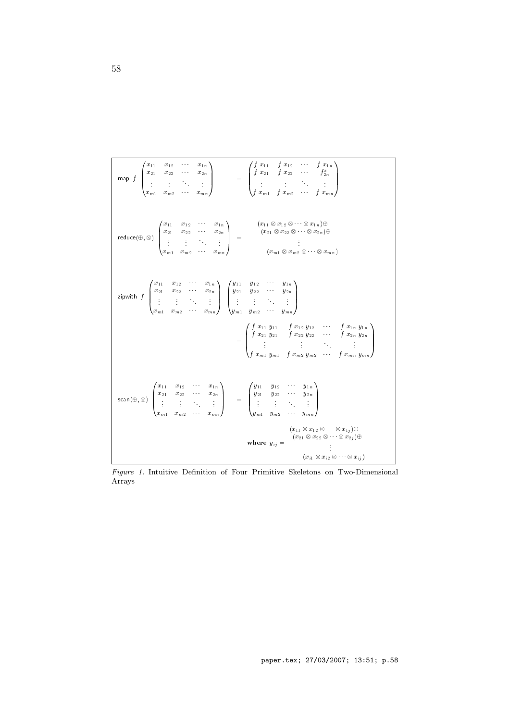map  $f$  $\overline{\phantom{a}}$  $\vert$ x11 x12 x1n x21 x22 x2n . . . . . . . . . . . . **xm2 xm2 xm2 xm2 xm2 xm2**  $11.11$  $\vert$  =  $\overline{\phantom{a}}$  $\overline{\phantom{a}}$ f  $x_{21}$  f  $x_{22}$   $\cdots$   $f_{2n}^x$ <sup>f</sup> xm1 <sup>f</sup> xm2 <sup>f</sup> xmn  $11.11$  $\overline{\phantom{a}}$  $r = 1$ <sup>0</sup>  $\vert$ x11 x12 x1n x21 x22 x2n . . . . . . . . . . . . **xm2 xm2 xm2 xm2 xm2 xm2**  $\sim$  $\Big| =$  $x - 11 = -12 = -12$ ( $21 = 22 = 2n$ )  $\frac{1}{2}$   $\frac{1}{2}$   $\frac{1}{2}$   $\frac{1}{2}$   $\frac{1}{2}$   $\frac{1}{2}$   $\frac{1}{2}$   $\frac{1}{2}$   $\frac{1}{2}$   $\frac{1}{2}$   $\frac{1}{2}$   $\frac{1}{2}$   $\frac{1}{2}$   $\frac{1}{2}$   $\frac{1}{2}$   $\frac{1}{2}$   $\frac{1}{2}$   $\frac{1}{2}$   $\frac{1}{2}$   $\frac{1}{2}$   $\frac{1}{2}$   $\frac{1}{2}$  zipwith format and all the state of the state of the state of the state of the state of the state of the state  $\overline{\phantom{a}}$  $\vert$ x11 x12 x1n x21 x22 x2n . . . . . . . . . . . . **xm2 xm2 xm2 xm2 xm2 xm2**  $\mathbf{1}$  $\overline{\phantom{a}}$  $\overline{\phantom{a}}$  $\vert$ y11 y12 y1n  $\frac{1}{2}$  y2n  $\frac{1}{2}$  y2n  $\frac{1}{2}$  ym2  $\frac{1}{2}$  ym2  $\frac{1}{2}$  ym2  $\frac{1}{2}$  ym2  $\frac{1}{2}$  $\sim$  $\overline{\phantom{a}}$  $\overline{\phantom{a}}$  $\overline{\phantom{a}}$ f and the state of the state of the state of the state of the state of the state of the state of the state of  $j = 2n \frac{1}{2a}$  f  $j = 2n \frac{1}{2a}$ <br>... f first form for you find you find your first first first first first first first first first first first firs  $11.11$  $\overline{\phantom{a}}$  $\cdots$   $\cdots$ <sup>0</sup>  $\vert$ x11 x12 x1n  $x_2$   $x_3$   $x_2$   $x_3$ **xm2 xm2 xm2 xm2 xm2 xm2**  $\sim$  $\Big\vert \qquad \ \ =$  $\overline{\phantom{a}}$  $\overline{\phantom{a}}$  $y111$   $y122$   $y110$  $\frac{\partial^2 u}{\partial x^2} + \frac{\partial^2 u}{\partial y^2} + \frac{\partial^2 u}{\partial z^2} + \frac{\partial^2 u}{\partial z^2} + \frac{\partial^2 u}{\partial z^2} + \frac{\partial^2 u}{\partial z^2} + \frac{\partial^2 u}{\partial z^2} + \frac{\partial^2 u}{\partial z^2} + \frac{\partial^2 u}{\partial z^2} + \frac{\partial^2 u}{\partial z^2} + \frac{\partial^2 u}{\partial z^2} + \frac{\partial^2 u}{\partial z^2} + \frac{\partial^2 u}{\partial z^2} + \frac{\partial^2 u}{\partial z^2} + \frac{\partial^2 u}{\partial$ ym1 ym2 ymn 11 and 12 and 12 and 12 and 12 and 12 and 12 and 12 and 12 and 12 and 12 and 12 and 12 and 12 and 12 and 12  $\perp$  $\cdots$  =  $\cdots$   $\cdots$   $\cdots$  $\mathbf{v}$  is the state of  $\mathbf{v}$  is the state of  $\mathbf{v}$ ( $2x = 22 = 2$ <br> $\vdots$  $x = 1$   $\leq x \leq 1$ 

*Figure 1.* Intuitive Definition of Four Primitive Skeletons on Two-Dimensional Arrays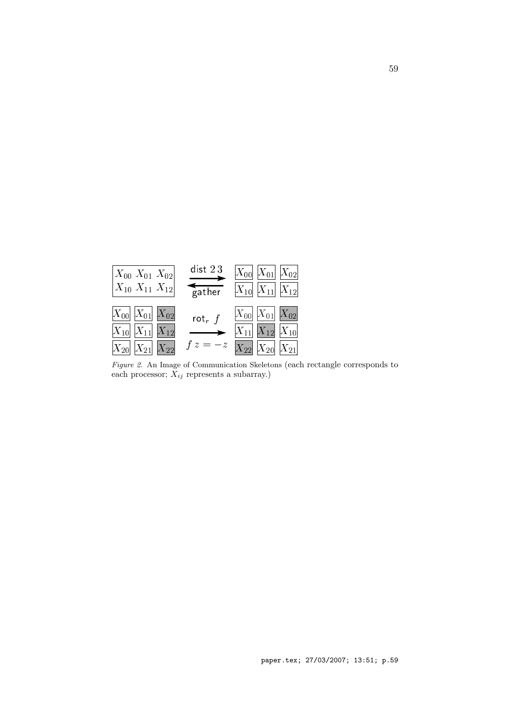|                                                                                     | dist $23$            | $ X_{00} $ $ X_{01} $ $ X_{02} $                                                                                |
|-------------------------------------------------------------------------------------|----------------------|-----------------------------------------------------------------------------------------------------------------|
| $\begin{vmatrix} X_{00} & X_{01} & X_{02} \ X_{10} & X_{11} & X_{12} \end{vmatrix}$ | $\overline{g}$ ather | $ X_{10}   X_{11}   X_{12} $                                                                                    |
| $ X_{00} $ $ X_{01} $ $ X_{02} $                                                    | rot $_r f$           | $\begin{array}{ c c } \hline X_{00} & X_{01} \hline \end{array} \begin{array}{ c c } X_{02} \hline \end{array}$ |
| $ X_{10}   X_{11}   X_{12} $                                                        | $\longrightarrow$    | $X_{11}$ $X_{12}$ $X_{10}$                                                                                      |
| $ X_{20} X_{21} X_{22} $                                                            |                      | $f z = -z \left  X_{22} \right  X_{20} \left  X_{21} \right $                                                   |

*Figure 2.* An Image of Communication Skeletons (each rectangle corresponds to each processor; *Xij* represents a subarray.)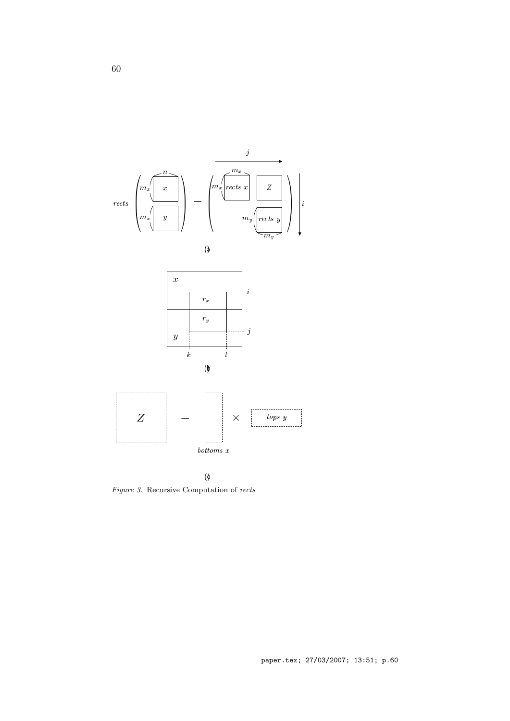







*Figure 3.* Recursive Computation of *rects*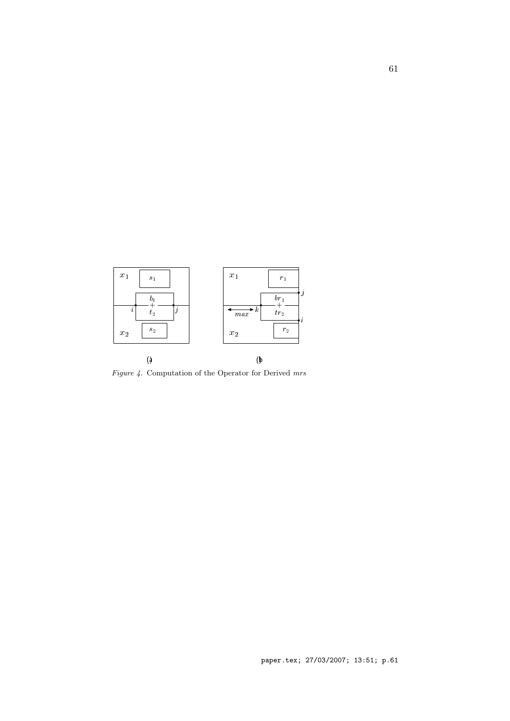

*Figure 4.* Computation of the Operator for Derived *mrs*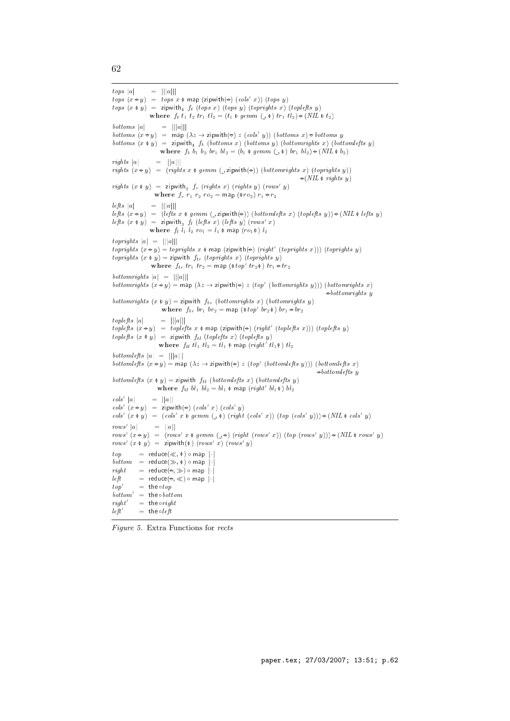```
tops<sub>a</sub>
                 = |||a|||tops (x \triangleleft y) = tops x \triangleleft map (zipwith(\triangleleft) (cols x)) (tops y)
tops (x \triangleleft y) = zipwith<sub>4</sub> f_t (tops x) (tops y) (toprights x) (toplefts y)
                 where f_t t_1 t_2 tr_1 t_2 = (t_1 \triangleleft \mathcal{G}) e (mm) (t_1 \triangleleft \mathcal{G}) (t_1 \triangleleft \mathcal{G}) (t_2 \triangleleft \mathcal{G})bottoms |a|= |||a|||bottoms (x \in y) = map (\lambda z \rightarrow zipwith(\infty z (cols y)) (bottoms x) \in bottoms y
bottoms (x \Phi y) = zipwith<sub>4</sub> f_b (bottoms x) (bottoms y) (bottomrights x) (bottomlefts y)
                     where f_b b_1 b_2 br_1 bl_2 = (b_1 \bullet gemm) (A_1 \bullet b_1) (b_1 \bullet b_2)rights |a|= |||a|||rights (x \in y) = (rights \ x \ \phi \ qerm (, zipwith(\Theta)) (bottomrights x) (toprights y))
                                                                                    \Theta(NIL \Phi rights u)
                                                                                               rights y)
rights (x \phi y) = zipwith<sub>3</sub> f_r (rights x) (rights y) (rows' y)
                  where f_r r_1 r_2 r_0 = \text{map} (\phi r_0) r_1 \circ r_2lefts |a|= |||a|||lefts (x \in y) = (lefts x \phi gemm (, zipwith(\Theta)) (bottomlefts x) (toplefts y)) \Theta (NIL \phi lefts y)
lefts (x \Phi y) = zipwith<sub>3</sub> f_l (lefts x) (lefts y) (rows' x)
                where f_l \bar{l}_1 l_2 ro_1 = l_1 \phi map (ro_1 \phi) l_2toprights jaj = jjjajjj
toprights (x \in y) = toprights x \phi map (zipwith(\Theta) (right' (toprights x))) (toprights y)
toprights (x \phi y) = zipwith f_{tr} (toprights x) (toprights y)
                 where f_{tr} tr_1 tr_2 = map (\phitop' tr_2 \phi) tr_1 \div tr_2bottomrights jaj = jjjajjj
bottomrights (x \oplus y) = map (\lambda z \rightarrow zipwith(\oplus z \otimestop (bottomrights y))) (bottomrights x)
                                                                                               \triangleleft bottom rights y
bottomrights (x \phi y) = zipwith f_{br} (bottomrights x) (bottomrights y)
                      where f_{br} br<sub>1</sub> br<sub>2</sub> = map (\phitop' br<sub>2</sub>\phi) br<sub>1</sub> \leftrightarrow br<sub>2</sub>
to plefts |a|
                     = |||a|||toplefts (x \in y) = toplefts x \phi map (zipwith(\phi) (right (toplefts x))) (toplefts y)
toplefts (x \phi y) = zipwith f_{tl} (toplefts x) (toplefts y)
                     where f_{tl} tl_1 tl_2 = tl_1 \phi map (right tl_1 \phi) tl_2bottomlefts jaj = jjjajjj
bottomlefts (x \oplus y) = map (xz \rightarrow z) is y \mapsto z (top (bottomlefts y))) (bottomlefts x)
                                                                                           \rightarrow bottomleft y
bottomlefts (x \phi y) = zipwith f_{bl} (bottomlefts x) (bottomlefts y)
                    where f_{hl} bl_1 bl_2 = bl_1 \Phi map (right bl_1 \Phi) bl_2cols
       jaj = jjajj
\cos(x \oplus y) = \text{zipwith}(\oplus) (cols x) (cols y)
cols' (x \phi y) = (cols' x \phi gemm (\phi) (right (cols' x)) (top (cols' y))) \rightarrow (NIL \phi cols' y)rows= ||a||rows' (x \in y) = (rows' x \phi \text{ germ } (\neg \ominus) (right (rows' x)) (top (rows' y)) \ominus (NIL \phi \text{ rows' } y)rows' (x \phi y) = zipwith(\phi) (rows' x) (rows' y)
top= reduce(\ll, \phi) \circ map |\cdot|bottom = reduce(\gg, \Phi) \circ map | \cdot |right= reduce(\rightarrow, \gg) \circ map |\cdot|left= reduce(\Leftrightarrow, \ll) \circ map |\cdot|top' = the \circ top
bottom' = \text{the} \circ bottomright'= the oright
left= the oleft
```
*Figure 5.* Extra Functions for *rects*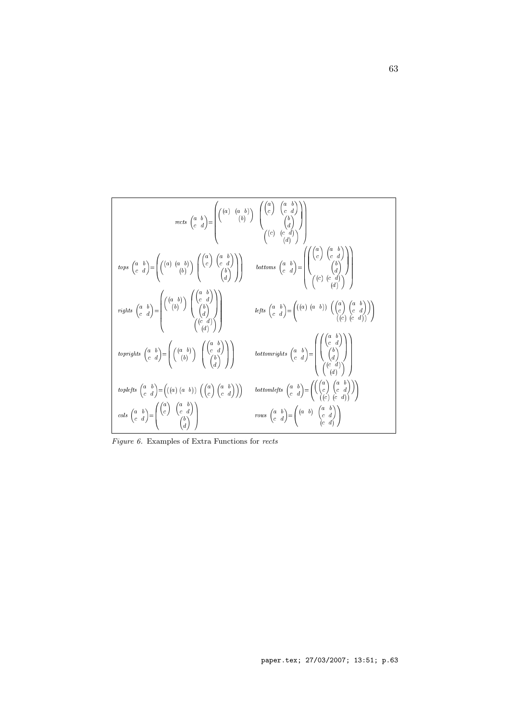$$
regits \begin{pmatrix} a & b \\ c & d \end{pmatrix} = \begin{pmatrix} \begin{pmatrix} a & b \\ c & d \end{pmatrix} \end{pmatrix} \begin{pmatrix} \begin{pmatrix} a & b \\ c & d \end{pmatrix} \end{pmatrix}
$$
  
\n
$$
tops \begin{pmatrix} a & b \\ c & d \end{pmatrix} = \begin{pmatrix} \begin{pmatrix} a & b \\ c & b \end{pmatrix} \end{pmatrix} \begin{pmatrix} \begin{pmatrix} a & b \\ c & d \end{pmatrix} \end{pmatrix}
$$
  
\n
$$
tops \begin{pmatrix} a & b \\ c & d \end{pmatrix} = \begin{pmatrix} \begin{pmatrix} a & b \\ c & b \end{pmatrix} \end{pmatrix} \begin{pmatrix} \begin{pmatrix} a & b \\ c & d \end{pmatrix} \end{pmatrix}
$$
  
\n
$$
rights \begin{pmatrix} a & b \\ c & d \end{pmatrix} = \begin{pmatrix} \begin{pmatrix} a & b \\ c & b \end{pmatrix} \end{pmatrix} \begin{pmatrix} \begin{pmatrix} a & b \\ c & d \end{pmatrix} \end{pmatrix}
$$
  
\n
$$
rights \begin{pmatrix} a & b \\ c & d \end{pmatrix} = \begin{pmatrix} \begin{pmatrix} a & b \\ b & b \end{pmatrix} \end{pmatrix} \begin{pmatrix} \begin{pmatrix} a & b \\ c & d \end{pmatrix} \end{pmatrix}
$$
  
\n
$$
toprights \begin{pmatrix} a & b \\ c & d \end{pmatrix} = \begin{pmatrix} \begin{pmatrix} a & b \\ b & d \end{pmatrix} \end{pmatrix} \begin{pmatrix} \begin{pmatrix} a & b \\ c & d \end{pmatrix} \end{pmatrix}
$$
  
\n
$$
toprights \begin{pmatrix} a & b \\ c & d \end{pmatrix} = \begin{pmatrix} \begin{pmatrix} a & b \\ c & d \end{pmatrix} \end{pmatrix} \begin{pmatrix} \begin{pmatrix} a & b \\ c & d \end{pmatrix} \end{pmatrix}
$$
  
\n
$$
toprights \begin{pmatrix} a & b \\ c & d \end{pmatrix} = \begin{pmatrix} \begin{pmatrix} a & b \\ c & b \end{pmatrix} \end{pmatrix} \begin{pmatrix} \begin{pmatrix} a & b \\ c & d \end{pmatrix} \end{pmatrix}
$$
  
\n

*Figure 6.* Examples of Extra Functions for *rects*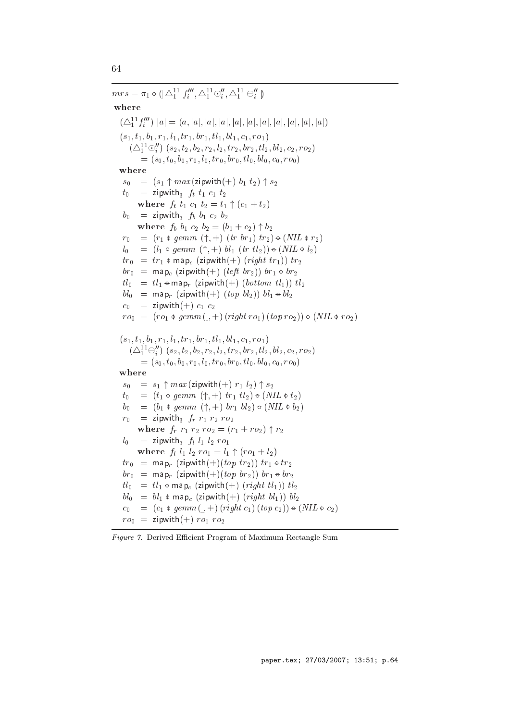$mrs = \pi_1 \circ \left( \bigcup_i \Delta_1^* J_i \right), \bigtriangleup_1^* \circ_i, \bigtriangleup_1^* \ominus_i \right)$ where (4<sup>11</sup> <sup>1</sup> <sup>f</sup> <sup>000</sup> <sup>i</sup> ) jaj <sup>=</sup> (a; jaj; jaj; jaj; jaj; jaj; jaj; jaj; jaj; jaj; jaj)  $(s_1, t_1, b_1, r_1, l_1, tr_1, br_1, tl_1, bl_1, c_1, ro_1)$  $(\triangle_1^{\sim} \cup_i^{\sim} | (s_2, \iota_2, \iota_2, r_2, \iota_2, \iota r_2, \iota r_2, \iota r_2, \iota \iota_2, \iota r_2, \iota r_2, \iota r_2)$  $= (s_0, t_0, b_0, r_0, l_0, tr_0, br_0, tl_0, bl_0, c_0, ro_0)$ where  $s_0 = (s_1 \uparrow max(\text{zipwith}(+) \; b_1 \; t_2) \uparrow s_2)$  $t_0$  = zipwith<sub>3</sub>  $f_t$   $t_1$   $c_1$   $t_2$ where  $f_t t_1 c_1 t_2 = t_1 \uparrow (c_1 + t_2)$  $b_0$  = zipwith<sub>3</sub>  $f_b$   $b_1$   $c_2$   $b_2$ where  $f_b$   $b_1$   $c_2$   $b_2 = (b_1 + c_2) \uparrow b_2$  $r_0 = (r_1 \phi \text{ gemm } (\uparrow, +) \text{ (tr } br_1) \text{ tr}_2) \bullet (NIL \phi \text{ } r_2)$  $l_0 = (l_1 \otimes \text{gemm} (\uparrow, +) \text{ bl}_1 (\text{tr } tl_2)) \oplus (NIL \otimes l_2)$  $tr_0 = tr_1 \phi$  map<sub>c</sub> (zipwith(+) (right tr<sub>1</sub>)) tr<sub>2</sub>  $b r_0$  = map $_c$  (zipwith(+) (left br $_2$ )) br $_1$  ¢ br $_2$  $tl_0 = tl_1 \cdot \text{map}_r$  (zipwith(+) (bottom  $tl_1$ ))  $tl_2$  $bl_0$  = map<sub>r</sub> (zipwith(+) (top  $bl_2$ ))  $bl_1 \bullet bl_2$  $c_0 = \text{zipwith}(+) c_1 c_2$  $r o_0 = (r o_1 \triangleleft g e m m (r + r) (right r o_1) (top r o_2)) \triangleleft (NIL \triangleleft r o_2)$  $(s_1, t_1, b_1, r_1, l_1, tr_1, br_1, tl_1, bl_1, c_1, ro_1)$  $\left( \triangle_{1}^{-} \ominus_{i} \right)$   $\left( s_{2}, t_{2}, v_{2}, r_{2}, t_{2}, tr_{2}, \textit{or}_{2}, u_{2}, \textit{or}_{2}, \textit{r}_{2}, \textit{r}_{2}\right)$  $= (s_0, t_0, b_0, r_0, l_0, tr_0, br_0, tl_0, bl_0, c_0, ro_0)$ where  $s_0 = s_1 \uparrow max$  (zipwith  $(+)$   $r_1$   $l_2$ )  $\uparrow s_2$  $t_0 = (t_1 \otimes \text{gemm} (\uparrow, +) \text{ tr}_1 \text{ } t_{2}) \oplus (NIL \otimes t_2)$  $b_0 = (b_1 \oplus \text{gem } m \ (\uparrow, +) \ \text{br}_1 \ \text{bl}_2) \oplus (NIL \oplus b_2)$  $r_0$  = zipwith<sub>3</sub>  $f_r$   $r_1$   $r_2$   $r_2$ where  $f_r$   $r_1$   $r_2$   $r_0$   $=$   $(r_1 + r_0)$   $\uparrow$   $r_2$  $l_0$  = zipwith<sub>3</sub>  $f_l$   $l_1$   $l_2$   $ro_1$ where  $f_l l_1 l_2 r o_1 = l_1 \uparrow (r o_1 + l_2)$  $tr_0$  = map<sub>r</sub> (zipwith(+)(top tr<sub>2</sub>)) tr<sub>1</sub>  $\div$  tr<sub>2</sub>  $br_0 = \text{map}_r \left( \text{zipwith}(+) (top \; br_2) \right) br_1 \oplus br_2$  $tl_0 = tl_1 \phi \text{ map}_c \text{ (zipwith(+) (right } tl_1) \text{) } tl_2$  $bl_0 = bl_1 \phi$  map<sub>c</sub> (zipwith(+) (right  $bl_1$ ))  $bl_2$  $c_0 = (c_1 \odot gemm(\_,+) (right c_1) (top c_2)) \ominus (NIL \odot c_2)$  $ro<sub>0</sub> = zipwith(+) ro<sub>1</sub> ro<sub>2</sub>$ 

#### *Figure 7.* Derived Efficient Program of Maximum Rectangle Sum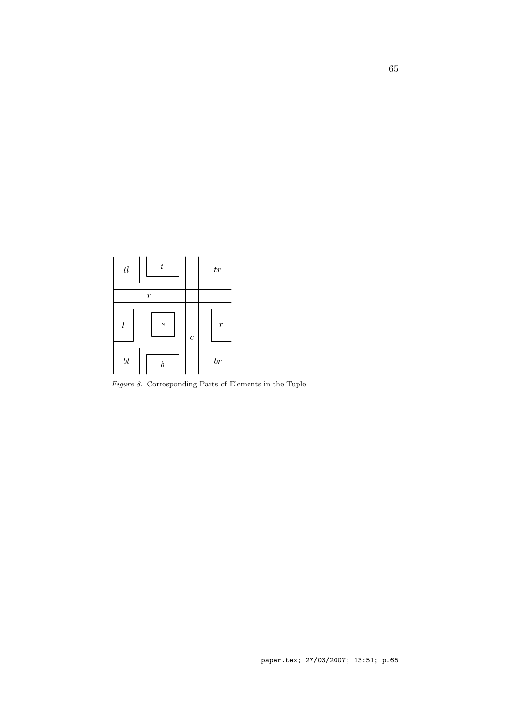| $t\bar{l}$            | $\boldsymbol{t}$ |                | tr               |
|-----------------------|------------------|----------------|------------------|
|                       | r                |                |                  |
| l                     | $\boldsymbol{s}$ | $\overline{c}$ | $\boldsymbol{r}$ |
| $b\hspace{0.025cm} l$ | h                |                | b r              |

*Figure 8.* Corresponding Parts of Elements in the Tuple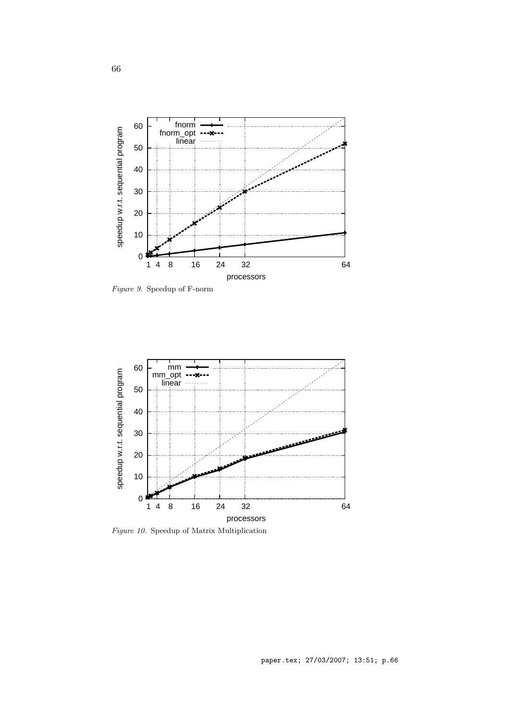

*Figure 9.* Speedup of F-norm



*Figure 10.* Speedup of Matrix Multiplication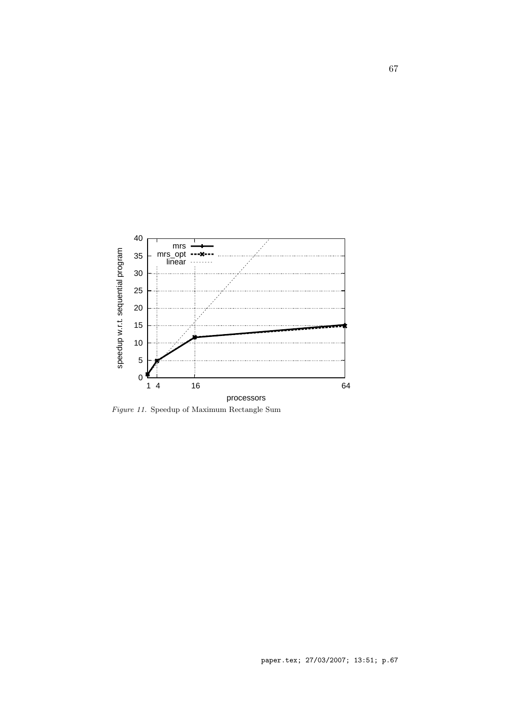

*Figure 11.* Speedup of Maximum Rectangle Sum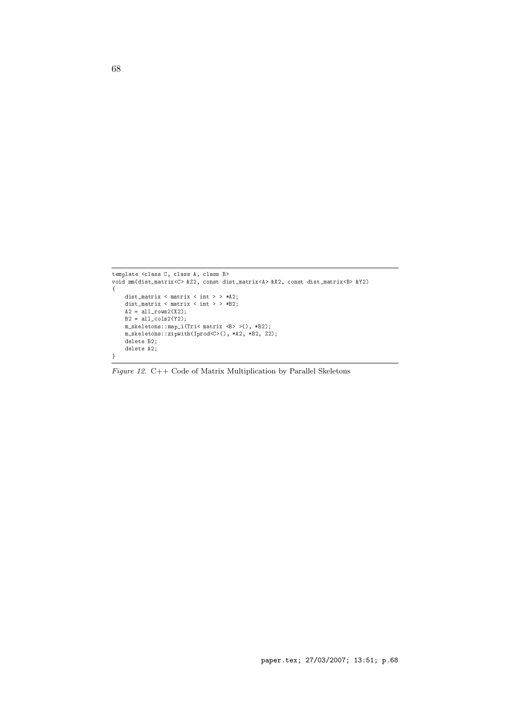```
template <class C, class A, class B>
void mm(dist_matrix<C> &Z2, 
onst dist_matrix<A> &X2, 
onst dist_matrix<B> &Y2)
{
    dist_matrix < matrix < int > > *A2;
    \texttt{dist\_matrix}~<~\texttt{matrix}~<~\texttt{int}~>~\texttt{*B2};A2 = a11_rows2(X2);B2 = all_
ols2(Y2);
    m_skeletons::map_i(Tri< matrix <B> >(), *B2);
    m_skeletons::zipwith(Iprod<C>(), *A2, *B2, Z2);
    delete B2;
    delete A2;
}
```
*Figure 12.* C++ Code of Matrix Multiplication by Parallel Skeletons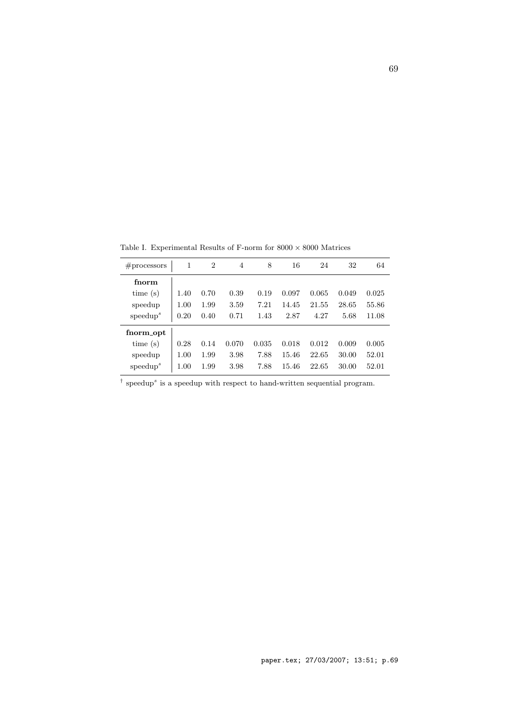| # <sub>processors</sub> | 1    | $\overline{2}$ | 4     | 8     | 16    | 24    | 32    | 64    |
|-------------------------|------|----------------|-------|-------|-------|-------|-------|-------|
| fnorm                   |      |                |       |       |       |       |       |       |
| time(s)                 | 1.40 | 0.70           | 0.39  | 0.19  | 0.097 | 0.065 | 0.049 | 0.025 |
| speedup                 | 1.00 | 1.99           | 3.59  | 7.21  | 14.45 | 21.55 | 28.65 | 55.86 |
| speedup <sup>s</sup>    | 0.20 | 0.40           | 0.71  | 1.43  | 2.87  | 4.27  | 5.68  | 11.08 |
| fnorm_opt               |      |                |       |       |       |       |       |       |
| time(s)                 | 0.28 | 0.14           | 0.070 | 0.035 | 0.018 | 0.012 | 0.009 | 0.005 |
| speedup                 | 1.00 | 1.99           | 3.98  | 7.88  | 15.46 | 22.65 | 30.00 | 52.01 |
| speedup <sup>s</sup>    | 1.00 | 1.99           | 3.98  | 7.88  | 15.46 | 22.65 | 30.00 | 52.01 |

Table I. Experimental Results of F-norm for  $8000\times8000$  Matrices

<sup>†</sup> speedup<sup>*s*</sup> is a speedup with respect to hand-written sequential program.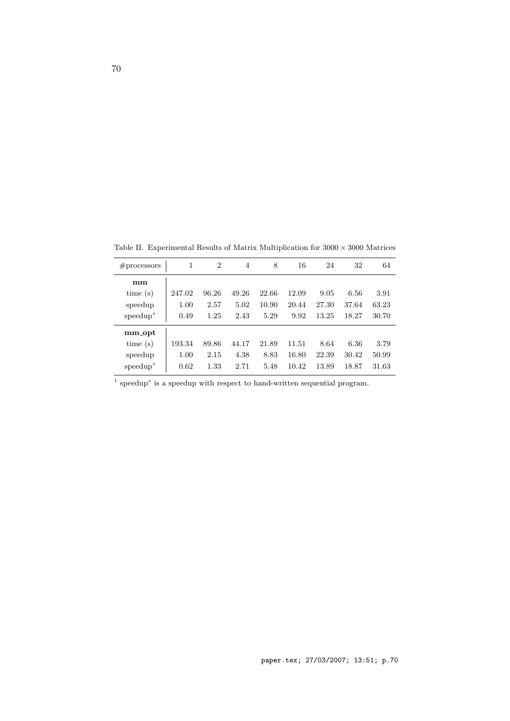| # <sub>processors</sub> | 1      | $\overline{2}$ | 4     | 8     | 16    | 24    | 32    | 64    |
|-------------------------|--------|----------------|-------|-------|-------|-------|-------|-------|
| mm                      |        |                |       |       |       |       |       |       |
| time(s)                 | 247.02 | 96.26          | 49.26 | 22.66 | 12.09 | 9.05  | 6.56  | 3.91  |
| speedup                 | 1.00   | 2.57           | 5.02  | 10.90 | 20.44 | 27.30 | 37.64 | 63.23 |
| speedup <sup>s</sup>    | 0.49   | 1.25           | 2.43  | 5.29  | 9.92  | 13.25 | 18.27 | 30.70 |
| mm_opt                  |        |                |       |       |       |       |       |       |
| time(s)                 | 193.34 | 89.86          | 44.17 | 21.89 | 11.51 | 8.64  | 6.36  | 3.79  |
| speedup                 | 1.00   | 2.15           | 4.38  | 8.83  | 16.80 | 22.39 | 30.42 | 50.99 |
| speedup <sup>s</sup>    | 0.62   | 1.33           | 2.71  | 5.48  | 10.42 | 13.89 | 18.87 | 31.63 |

Table II. Experimental Results of Matrix Multiplication for  $3000\times3000$  Matrices

<sup>†</sup> speedup<sup>*s*</sup> is a speedup with respect to hand-written sequential program.